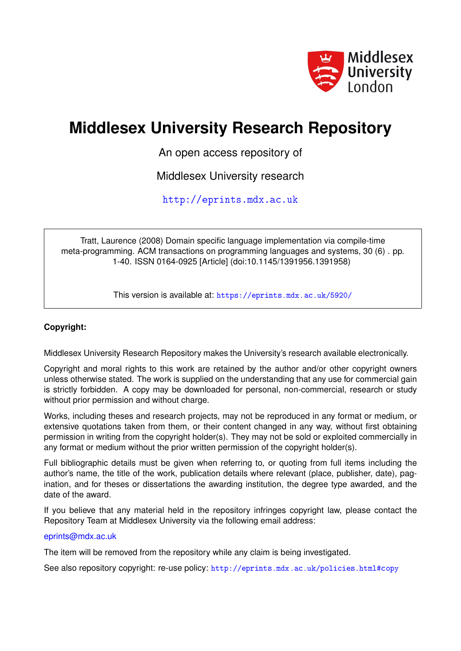

# **Middlesex University Research Repository**

An open access repository of

Middlesex University research

<http://eprints.mdx.ac.uk>

Tratt, Laurence (2008) Domain specific language implementation via compile-time meta-programming. ACM transactions on programming languages and systems, 30 (6) . pp. 1-40. ISSN 0164-0925 [Article] (doi:10.1145/1391956.1391958)

This version is available at: <https://eprints.mdx.ac.uk/5920/>

## **Copyright:**

Middlesex University Research Repository makes the University's research available electronically.

Copyright and moral rights to this work are retained by the author and/or other copyright owners unless otherwise stated. The work is supplied on the understanding that any use for commercial gain is strictly forbidden. A copy may be downloaded for personal, non-commercial, research or study without prior permission and without charge.

Works, including theses and research projects, may not be reproduced in any format or medium, or extensive quotations taken from them, or their content changed in any way, without first obtaining permission in writing from the copyright holder(s). They may not be sold or exploited commercially in any format or medium without the prior written permission of the copyright holder(s).

Full bibliographic details must be given when referring to, or quoting from full items including the author's name, the title of the work, publication details where relevant (place, publisher, date), pagination, and for theses or dissertations the awarding institution, the degree type awarded, and the date of the award.

If you believe that any material held in the repository infringes copyright law, please contact the Repository Team at Middlesex University via the following email address:

### [eprints@mdx.ac.uk](mailto:eprints@mdx.ac.uk)

The item will be removed from the repository while any claim is being investigated.

See also repository copyright: re-use policy: <http://eprints.mdx.ac.uk/policies.html#copy>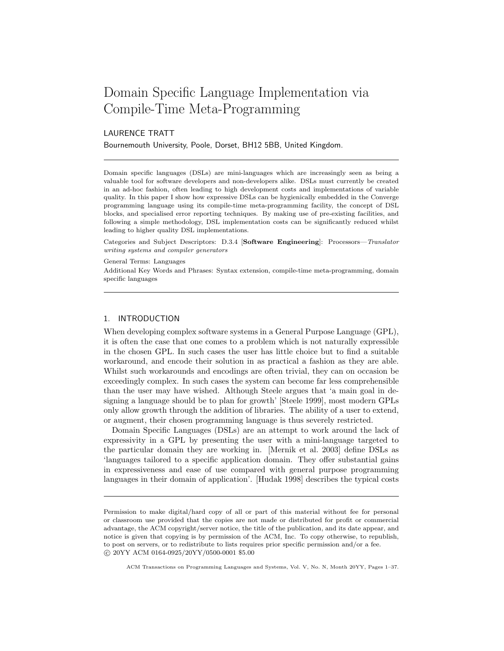## Domain Specific Language Implementation via Compile-Time Meta-Programming

#### LAURENCE TRATT

Bournemouth University, Poole, Dorset, BH12 5BB, United Kingdom.

Domain specific languages (DSLs) are mini-languages which are increasingly seen as being a valuable tool for software developers and non-developers alike. DSLs must currently be created in an ad-hoc fashion, often leading to high development costs and implementations of variable quality. In this paper I show how expressive DSLs can be hygienically embedded in the Converge programming language using its compile-time meta-programming facility, the concept of DSL blocks, and specialised error reporting techniques. By making use of pre-existing facilities, and following a simple methodology, DSL implementation costs can be significantly reduced whilst leading to higher quality DSL implementations.

Categories and Subject Descriptors: D.3.4 [Software Engineering]: Processors—Translator writing systems and compiler generators

General Terms: Languages

Additional Key Words and Phrases: Syntax extension, compile-time meta-programming, domain specific languages

#### 1. INTRODUCTION

When developing complex software systems in a General Purpose Language (GPL), it is often the case that one comes to a problem which is not naturally expressible in the chosen GPL. In such cases the user has little choice but to find a suitable workaround, and encode their solution in as practical a fashion as they are able. Whilst such workarounds and encodings are often trivial, they can on occasion be exceedingly complex. In such cases the system can become far less comprehensible than the user may have wished. Although Steele argues that 'a main goal in designing a language should be to plan for growth' [Steele 1999], most modern GPLs only allow growth through the addition of libraries. The ability of a user to extend, or augment, their chosen programming language is thus severely restricted.

Domain Specific Languages (DSLs) are an attempt to work around the lack of expressivity in a GPL by presenting the user with a mini-language targeted to the particular domain they are working in. [Mernik et al. 2003] define DSLs as 'languages tailored to a specific application domain. They offer substantial gains in expressiveness and ease of use compared with general purpose programming languages in their domain of application'. [Hudak 1998] describes the typical costs

Permission to make digital/hard copy of all or part of this material without fee for personal or classroom use provided that the copies are not made or distributed for profit or commercial advantage, the ACM copyright/server notice, the title of the publication, and its date appear, and notice is given that copying is by permission of the ACM, Inc. To copy otherwise, to republish, to post on servers, or to redistribute to lists requires prior specific permission and/or a fee. c 20YY ACM 0164-0925/20YY/0500-0001 \$5.00

ACM Transactions on Programming Languages and Systems, Vol. V, No. N, Month 20YY, Pages 1–37.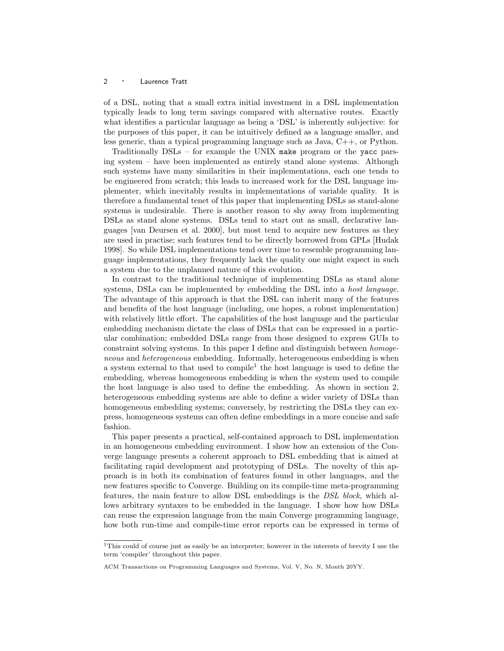of a DSL, noting that a small extra initial investment in a DSL implementation typically leads to long term savings compared with alternative routes. Exactly what identifies a particular language as being a 'DSL' is inherently subjective: for the purposes of this paper, it can be intuitively defined as a language smaller, and less generic, than a typical programming language such as Java, C++, or Python.

Traditionally DSLs – for example the UNIX make program or the yacc parsing system – have been implemented as entirely stand alone systems. Although such systems have many similarities in their implementations, each one tends to be engineered from scratch; this leads to increased work for the DSL language implementer, which inevitably results in implementations of variable quality. It is therefore a fundamental tenet of this paper that implementing DSLs as stand-alone systems is undesirable. There is another reason to shy away from implementing DSLs as stand alone systems. DSLs tend to start out as small, declarative languages [van Deursen et al. 2000], but most tend to acquire new features as they are used in practise; such features tend to be directly borrowed from GPLs [Hudak 1998]. So while DSL implementations tend over time to resemble programming language implementations, they frequently lack the quality one might expect in such a system due to the unplanned nature of this evolution.

In contrast to the traditional technique of implementing DSLs as stand alone systems, DSLs can be implemented by embedding the DSL into a *host language*. The advantage of this approach is that the DSL can inherit many of the features and benefits of the host language (including, one hopes, a robust implementation) with relatively little effort. The capabilities of the host language and the particular embedding mechanism dictate the class of DSLs that can be expressed in a particular combination; embedded DSLs range from those designed to express GUIs to constraint solving systems. In this paper I define and distinguish between homogeneous and heterogeneous embedding. Informally, heterogeneous embedding is when a system external to that used to compile<sup>1</sup> the host language is used to define the embedding, whereas homogeneous embedding is when the system used to compile the host language is also used to define the embedding. As shown in section 2, heterogeneous embedding systems are able to define a wider variety of DSLs than homogeneous embedding systems; conversely, by restricting the DSLs they can express, homogeneous systems can often define embeddings in a more concise and safe fashion.

This paper presents a practical, self-contained approach to DSL implementation in an homogeneous embedding environment. I show how an extension of the Converge language presents a coherent approach to DSL embedding that is aimed at facilitating rapid development and prototyping of DSLs. The novelty of this approach is in both its combination of features found in other languages, and the new features specific to Converge. Building on its compile-time meta-programming features, the main feature to allow DSL embeddings is the DSL block, which allows arbitrary syntaxes to be embedded in the language. I show how how DSLs can reuse the expression language from the main Converge programming language, how both run-time and compile-time error reports can be expressed in terms of

 $^1\mathbf{T}$  is could of course just as easily be an interpreter; however in the interests of brevity I use the term 'compiler' throughout this paper.

ACM Transactions on Programming Languages and Systems, Vol. V, No. N, Month 20YY.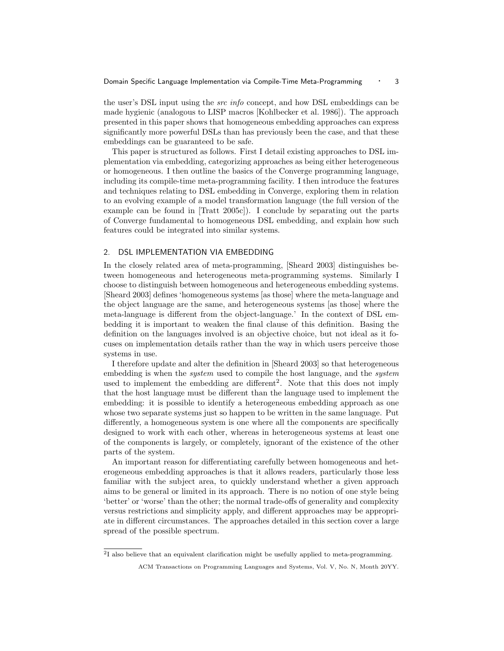the user's DSL input using the src info concept, and how DSL embeddings can be made hygienic (analogous to LISP macros [Kohlbecker et al. 1986]). The approach presented in this paper shows that homogeneous embedding approaches can express significantly more powerful DSLs than has previously been the case, and that these embeddings can be guaranteed to be safe.

This paper is structured as follows. First I detail existing approaches to DSL implementation via embedding, categorizing approaches as being either heterogeneous or homogeneous. I then outline the basics of the Converge programming language, including its compile-time meta-programming facility. I then introduce the features and techniques relating to DSL embedding in Converge, exploring them in relation to an evolving example of a model transformation language (the full version of the example can be found in [Tratt 2005c]). I conclude by separating out the parts of Converge fundamental to homogeneous DSL embedding, and explain how such features could be integrated into similar systems.

#### 2. DSL IMPLEMENTATION VIA EMBEDDING

In the closely related area of meta-programming, [Sheard 2003] distinguishes between homogeneous and heterogeneous meta-programming systems. Similarly I choose to distinguish between homogeneous and heterogeneous embedding systems. [Sheard 2003] defines 'homogeneous systems [as those] where the meta-language and the object language are the same, and heterogeneous systems [as those] where the meta-language is different from the object-language.' In the context of DSL embedding it is important to weaken the final clause of this definition. Basing the definition on the languages involved is an objective choice, but not ideal as it focuses on implementation details rather than the way in which users perceive those systems in use.

I therefore update and alter the definition in [Sheard 2003] so that heterogeneous embedding is when the *system* used to compile the host language, and the *system* used to implement the embedding are different<sup>2</sup>. Note that this does not imply that the host language must be different than the language used to implement the embedding: it is possible to identify a heterogeneous embedding approach as one whose two separate systems just so happen to be written in the same language. Put differently, a homogeneous system is one where all the components are specifically designed to work with each other, whereas in heterogeneous systems at least one of the components is largely, or completely, ignorant of the existence of the other parts of the system.

An important reason for differentiating carefully between homogeneous and heterogeneous embedding approaches is that it allows readers, particularly those less familiar with the subject area, to quickly understand whether a given approach aims to be general or limited in its approach. There is no notion of one style being 'better' or 'worse' than the other; the normal trade-offs of generality and complexity versus restrictions and simplicity apply, and different approaches may be appropriate in different circumstances. The approaches detailed in this section cover a large spread of the possible spectrum.

 $2<sup>1</sup>$  also believe that an equivalent clarification might be usefully applied to meta-programming.

ACM Transactions on Programming Languages and Systems, Vol. V, No. N, Month 20YY.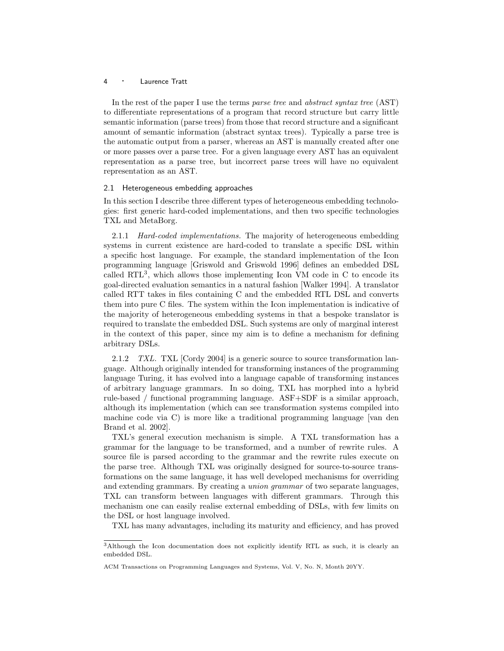In the rest of the paper I use the terms parse tree and abstract syntax tree (AST) to differentiate representations of a program that record structure but carry little semantic information (parse trees) from those that record structure and a significant amount of semantic information (abstract syntax trees). Typically a parse tree is the automatic output from a parser, whereas an AST is manually created after one or more passes over a parse tree. For a given language every AST has an equivalent representation as a parse tree, but incorrect parse trees will have no equivalent representation as an AST.

#### 2.1 Heterogeneous embedding approaches

In this section I describe three different types of heterogeneous embedding technologies: first generic hard-coded implementations, and then two specific technologies TXL and MetaBorg.

2.1.1 *Hard-coded implementations*. The majority of heterogeneous embedding systems in current existence are hard-coded to translate a specific DSL within a specific host language. For example, the standard implementation of the Icon programming language [Griswold and Griswold 1996] defines an embedded DSL called  $\mathrm{RTL}^3$ , which allows those implementing Icon VM code in C to encode its goal-directed evaluation semantics in a natural fashion [Walker 1994]. A translator called RTT takes in files containing C and the embedded RTL DSL and converts them into pure C files. The system within the Icon implementation is indicative of the majority of heterogeneous embedding systems in that a bespoke translator is required to translate the embedded DSL. Such systems are only of marginal interest in the context of this paper, since my aim is to define a mechanism for defining arbitrary DSLs.

2.1.2 TXL. TXL [Cordy 2004] is a generic source to source transformation language. Although originally intended for transforming instances of the programming language Turing, it has evolved into a language capable of transforming instances of arbitrary language grammars. In so doing, TXL has morphed into a hybrid rule-based / functional programming language. ASF+SDF is a similar approach, although its implementation (which can see transformation systems compiled into machine code via C) is more like a traditional programming language [van den Brand et al. 2002].

TXL's general execution mechanism is simple. A TXL transformation has a grammar for the language to be transformed, and a number of rewrite rules. A source file is parsed according to the grammar and the rewrite rules execute on the parse tree. Although TXL was originally designed for source-to-source transformations on the same language, it has well developed mechanisms for overriding and extending grammars. By creating a union grammar of two separate languages, TXL can transform between languages with different grammars. Through this mechanism one can easily realise external embedding of DSLs, with few limits on the DSL or host language involved.

TXL has many advantages, including its maturity and efficiency, and has proved

<sup>3</sup>Although the Icon documentation does not explicitly identify RTL as such, it is clearly an embedded DSL.

ACM Transactions on Programming Languages and Systems, Vol. V, No. N, Month 20YY.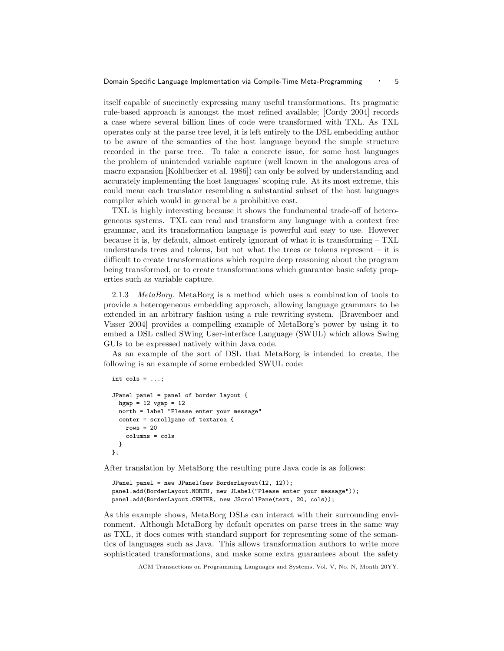itself capable of succinctly expressing many useful transformations. Its pragmatic rule-based approach is amongst the most refined available; [Cordy 2004] records a case where several billion lines of code were transformed with TXL. As TXL operates only at the parse tree level, it is left entirely to the DSL embedding author to be aware of the semantics of the host language beyond the simple structure recorded in the parse tree. To take a concrete issue, for some host languages the problem of unintended variable capture (well known in the analogous area of macro expansion [Kohlbecker et al. 1986]) can only be solved by understanding and accurately implementing the host languages' scoping rule. At its most extreme, this could mean each translator resembling a substantial subset of the host languages compiler which would in general be a prohibitive cost.

TXL is highly interesting because it shows the fundamental trade-off of heterogeneous systems. TXL can read and transform any language with a context free grammar, and its transformation language is powerful and easy to use. However because it is, by default, almost entirely ignorant of what it is transforming – TXL understands trees and tokens, but not what the trees or tokens represent  $-$  it is difficult to create transformations which require deep reasoning about the program being transformed, or to create transformations which guarantee basic safety properties such as variable capture.

2.1.3 MetaBorg. MetaBorg is a method which uses a combination of tools to provide a heterogeneous embedding approach, allowing language grammars to be extended in an arbitrary fashion using a rule rewriting system. [Bravenboer and Visser 2004] provides a compelling example of MetaBorg's power by using it to embed a DSL called SWing User-interface Language (SWUL) which allows Swing GUIs to be expressed natively within Java code.

As an example of the sort of DSL that MetaBorg is intended to create, the following is an example of some embedded SWUL code:

```
int cols = \dots;JPanel panel = panel of border layout {
 hgap = 12 vgap = 12north = label "Please enter your message"
  center = scrollpane of textarea {
    rows = 20columns = cols
  }
};
```
After translation by MetaBorg the resulting pure Java code is as follows:

```
JPanel panel = new JPanel(new BorderLayout(12, 12));
panel.add(BorderLayout.NORTH, new JLabel("Please enter your message"));
panel.add(BorderLayout.CENTER, new JScrollPane(text, 20, cols));
```
As this example shows, MetaBorg DSLs can interact with their surrounding environment. Although MetaBorg by default operates on parse trees in the same way as TXL, it does comes with standard support for representing some of the semantics of languages such as Java. This allows transformation authors to write more sophisticated transformations, and make some extra guarantees about the safety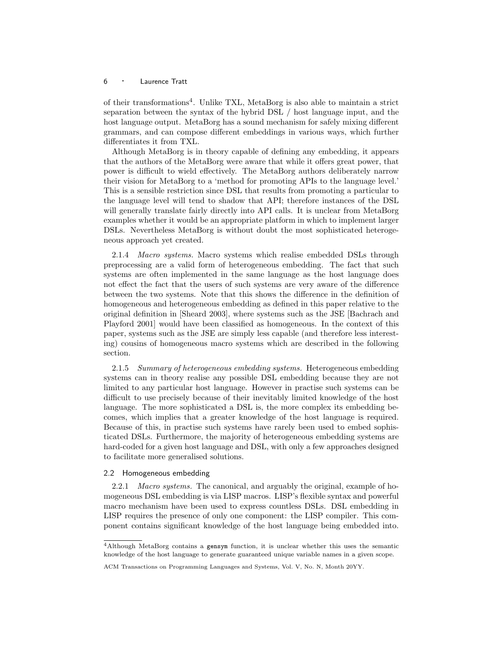of their transformations<sup>4</sup>. Unlike TXL, MetaBorg is also able to maintain a strict separation between the syntax of the hybrid DSL / host language input, and the host language output. MetaBorg has a sound mechanism for safely mixing different grammars, and can compose different embeddings in various ways, which further differentiates it from TXL.

Although MetaBorg is in theory capable of defining any embedding, it appears that the authors of the MetaBorg were aware that while it offers great power, that power is difficult to wield effectively. The MetaBorg authors deliberately narrow their vision for MetaBorg to a 'method for promoting APIs to the language level.' This is a sensible restriction since DSL that results from promoting a particular to the language level will tend to shadow that API; therefore instances of the DSL will generally translate fairly directly into API calls. It is unclear from MetaBorg examples whether it would be an appropriate platform in which to implement larger DSLs. Nevertheless MetaBorg is without doubt the most sophisticated heterogeneous approach yet created.

2.1.4 Macro systems. Macro systems which realise embedded DSLs through preprocessing are a valid form of heterogeneous embedding. The fact that such systems are often implemented in the same language as the host language does not effect the fact that the users of such systems are very aware of the difference between the two systems. Note that this shows the difference in the definition of homogeneous and heterogeneous embedding as defined in this paper relative to the original definition in [Sheard 2003], where systems such as the JSE [Bachrach and Playford 2001] would have been classified as homogeneous. In the context of this paper, systems such as the JSE are simply less capable (and therefore less interesting) cousins of homogeneous macro systems which are described in the following section.

2.1.5 Summary of heterogeneous embedding systems. Heterogeneous embedding systems can in theory realise any possible DSL embedding because they are not limited to any particular host language. However in practise such systems can be difficult to use precisely because of their inevitably limited knowledge of the host language. The more sophisticated a DSL is, the more complex its embedding becomes, which implies that a greater knowledge of the host language is required. Because of this, in practise such systems have rarely been used to embed sophisticated DSLs. Furthermore, the majority of heterogeneous embedding systems are hard-coded for a given host language and DSL, with only a few approaches designed to facilitate more generalised solutions.

#### 2.2 Homogeneous embedding

2.2.1 *Macro systems*. The canonical, and arguably the original, example of homogeneous DSL embedding is via LISP macros. LISP's flexible syntax and powerful macro mechanism have been used to express countless DSLs. DSL embedding in LISP requires the presence of only one component: the LISP compiler. This component contains significant knowledge of the host language being embedded into.

<sup>4</sup>Although MetaBorg contains a gensym function, it is unclear whether this uses the semantic knowledge of the host language to generate guaranteed unique variable names in a given scope.

ACM Transactions on Programming Languages and Systems, Vol. V, No. N, Month 20YY.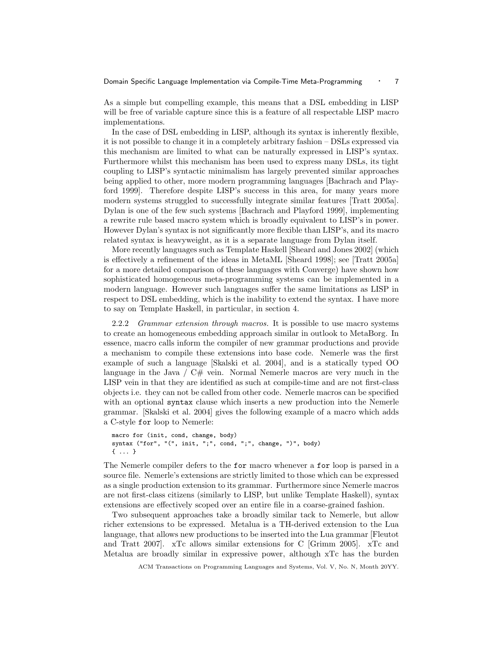As a simple but compelling example, this means that a DSL embedding in LISP will be free of variable capture since this is a feature of all respectable LISP macro implementations.

In the case of DSL embedding in LISP, although its syntax is inherently flexible, it is not possible to change it in a completely arbitrary fashion – DSLs expressed via this mechanism are limited to what can be naturally expressed in LISP's syntax. Furthermore whilst this mechanism has been used to express many DSLs, its tight coupling to LISP's syntactic minimalism has largely prevented similar approaches being applied to other, more modern programming languages [Bachrach and Playford 1999]. Therefore despite LISP's success in this area, for many years more modern systems struggled to successfully integrate similar features [Tratt 2005a]. Dylan is one of the few such systems [Bachrach and Playford 1999], implementing a rewrite rule based macro system which is broadly equivalent to LISP's in power. However Dylan's syntax is not significantly more flexible than LISP's, and its macro related syntax is heavyweight, as it is a separate language from Dylan itself.

More recently languages such as Template Haskell [Sheard and Jones 2002] (which is effectively a refinement of the ideas in MetaML [Sheard 1998]; see [Tratt 2005a] for a more detailed comparison of these languages with Converge) have shown how sophisticated homogeneous meta-programming systems can be implemented in a modern language. However such languages suffer the same limitations as LISP in respect to DSL embedding, which is the inability to extend the syntax. I have more to say on Template Haskell, in particular, in section 4.

2.2.2 Grammar extension through macros. It is possible to use macro systems to create an homogeneous embedding approach similar in outlook to MetaBorg. In essence, macro calls inform the compiler of new grammar productions and provide a mechanism to compile these extensions into base code. Nemerle was the first example of such a language [Skalski et al. 2004], and is a statically typed OO language in the Java  $\ell$  C# vein. Normal Nemerle macros are very much in the LISP vein in that they are identified as such at compile-time and are not first-class objects i.e. they can not be called from other code. Nemerle macros can be specified with an optional syntax clause which inserts a new production into the Nemerle grammar. [Skalski et al. 2004] gives the following example of a macro which adds a C-style for loop to Nemerle:

```
macro for (init, cond, change, body)
syntax ("for", "(", init, ";", cond, ";", change, ")", body)
{ ... }
```
The Nemerle compiler defers to the for macro whenever a for loop is parsed in a source file. Nemerle's extensions are strictly limited to those which can be expressed as a single production extension to its grammar. Furthermore since Nemerle macros are not first-class citizens (similarly to LISP, but unlike Template Haskell), syntax extensions are effectively scoped over an entire file in a coarse-grained fashion.

Two subsequent approaches take a broadly similar tack to Nemerle, but allow richer extensions to be expressed. Metalua is a TH-derived extension to the Lua language, that allows new productions to be inserted into the Lua grammar [Fleutot and Tratt 2007]. xTc allows similar extensions for C [Grimm 2005]. xTc and Metalua are broadly similar in expressive power, although xTc has the burden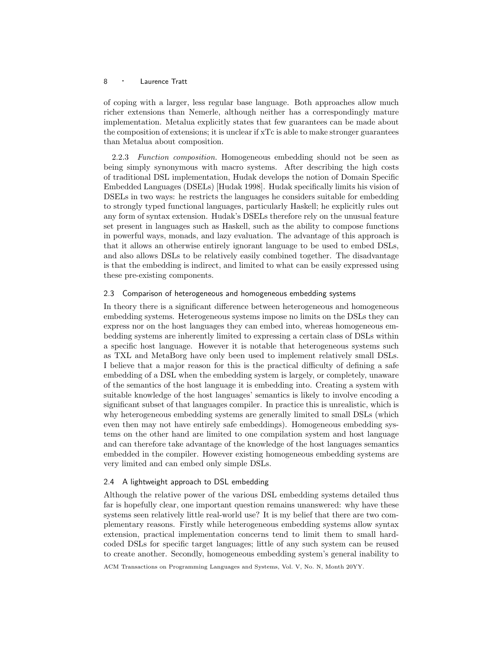of coping with a larger, less regular base language. Both approaches allow much richer extensions than Nemerle, although neither has a correspondingly mature implementation. Metalua explicitly states that few guarantees can be made about the composition of extensions; it is unclear if xTc is able to make stronger guarantees than Metalua about composition.

2.2.3 Function composition. Homogeneous embedding should not be seen as being simply synonymous with macro systems. After describing the high costs of traditional DSL implementation, Hudak develops the notion of Domain Specific Embedded Languages (DSELs) [Hudak 1998]. Hudak specifically limits his vision of DSELs in two ways: he restricts the languages he considers suitable for embedding to strongly typed functional languages, particularly Haskell; he explicitly rules out any form of syntax extension. Hudak's DSELs therefore rely on the unusual feature set present in languages such as Haskell, such as the ability to compose functions in powerful ways, monads, and lazy evaluation. The advantage of this approach is that it allows an otherwise entirely ignorant language to be used to embed DSLs, and also allows DSLs to be relatively easily combined together. The disadvantage is that the embedding is indirect, and limited to what can be easily expressed using these pre-existing components.

#### 2.3 Comparison of heterogeneous and homogeneous embedding systems

In theory there is a significant difference between heterogeneous and homogeneous embedding systems. Heterogeneous systems impose no limits on the DSLs they can express nor on the host languages they can embed into, whereas homogeneous embedding systems are inherently limited to expressing a certain class of DSLs within a specific host language. However it is notable that heterogeneous systems such as TXL and MetaBorg have only been used to implement relatively small DSLs. I believe that a major reason for this is the practical difficulty of defining a safe embedding of a DSL when the embedding system is largely, or completely, unaware of the semantics of the host language it is embedding into. Creating a system with suitable knowledge of the host languages' semantics is likely to involve encoding a significant subset of that languages compiler. In practice this is unrealistic, which is why heterogeneous embedding systems are generally limited to small DSLs (which even then may not have entirely safe embeddings). Homogeneous embedding systems on the other hand are limited to one compilation system and host language and can therefore take advantage of the knowledge of the host languages semantics embedded in the compiler. However existing homogeneous embedding systems are very limited and can embed only simple DSLs.

#### 2.4 A lightweight approach to DSL embedding

Although the relative power of the various DSL embedding systems detailed thus far is hopefully clear, one important question remains unanswered: why have these systems seen relatively little real-world use? It is my belief that there are two complementary reasons. Firstly while heterogeneous embedding systems allow syntax extension, practical implementation concerns tend to limit them to small hardcoded DSLs for specific target languages; little of any such system can be reused to create another. Secondly, homogeneous embedding system's general inability to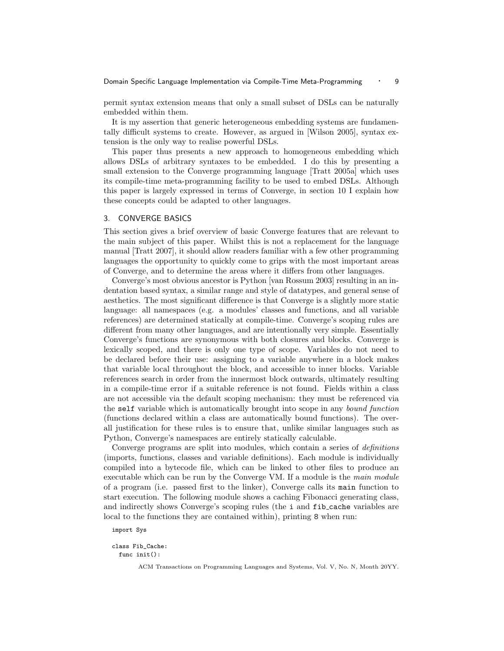permit syntax extension means that only a small subset of DSLs can be naturally embedded within them.

It is my assertion that generic heterogeneous embedding systems are fundamentally difficult systems to create. However, as argued in [Wilson 2005], syntax extension is the only way to realise powerful DSLs.

This paper thus presents a new approach to homogeneous embedding which allows DSLs of arbitrary syntaxes to be embedded. I do this by presenting a small extension to the Converge programming language [Tratt 2005a] which uses its compile-time meta-programming facility to be used to embed DSLs. Although this paper is largely expressed in terms of Converge, in section 10 I explain how these concepts could be adapted to other languages.

#### 3. CONVERGE BASICS

This section gives a brief overview of basic Converge features that are relevant to the main subject of this paper. Whilst this is not a replacement for the language manual [Tratt 2007], it should allow readers familiar with a few other programming languages the opportunity to quickly come to grips with the most important areas of Converge, and to determine the areas where it differs from other languages.

Converge's most obvious ancestor is Python [van Rossum 2003] resulting in an indentation based syntax, a similar range and style of datatypes, and general sense of aesthetics. The most significant difference is that Converge is a slightly more static language: all namespaces (e.g. a modules' classes and functions, and all variable references) are determined statically at compile-time. Converge's scoping rules are different from many other languages, and are intentionally very simple. Essentially Converge's functions are synonymous with both closures and blocks. Converge is lexically scoped, and there is only one type of scope. Variables do not need to be declared before their use: assigning to a variable anywhere in a block makes that variable local throughout the block, and accessible to inner blocks. Variable references search in order from the innermost block outwards, ultimately resulting in a compile-time error if a suitable reference is not found. Fields within a class are not accessible via the default scoping mechanism: they must be referenced via the self variable which is automatically brought into scope in any bound function (functions declared within a class are automatically bound functions). The overall justification for these rules is to ensure that, unlike similar languages such as Python, Converge's namespaces are entirely statically calculable.

Converge programs are split into modules, which contain a series of definitions (imports, functions, classes and variable definitions). Each module is individually compiled into a bytecode file, which can be linked to other files to produce an executable which can be run by the Converge VM. If a module is the main module of a program (i.e. passed first to the linker), Converge calls its main function to start execution. The following module shows a caching Fibonacci generating class, and indirectly shows Converge's scoping rules (the i and fib cache variables are local to the functions they are contained within), printing 8 when run:

```
import Sys
```

```
class Fib_Cache:
 func init():
```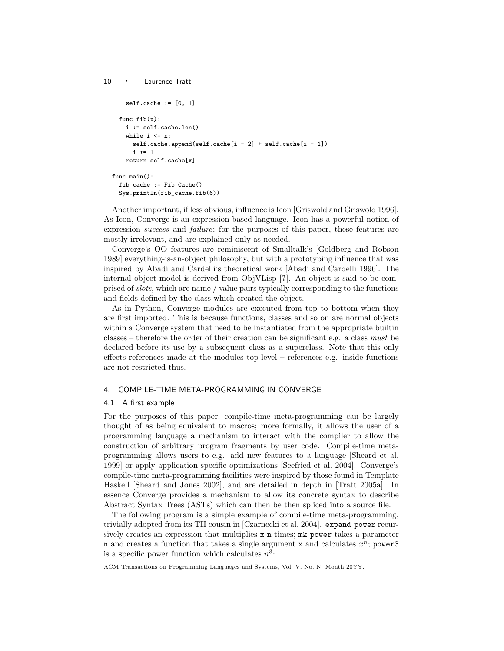```
10 · Laurence Tratt
      self.cache := [0, 1]func fib(x):
      i := self.cache.len()
      while i \leq x:
        self.cache.append(self.cache[i - 2] + self.cache[i - 1])
        i + = 1return self.cache[x]
 func main():
    fib_cache := Fib_Cache()
    Sys.println(fib_cache.fib(6))
```
Another important, if less obvious, influence is Icon [Griswold and Griswold 1996]. As Icon, Converge is an expression-based language. Icon has a powerful notion of expression success and failure; for the purposes of this paper, these features are mostly irrelevant, and are explained only as needed.

Converge's OO features are reminiscent of Smalltalk's [Goldberg and Robson 1989] everything-is-an-object philosophy, but with a prototyping influence that was inspired by Abadi and Cardelli's theoretical work [Abadi and Cardelli 1996]. The internal object model is derived from ObjVLisp [?]. An object is said to be comprised of slots, which are name / value pairs typically corresponding to the functions and fields defined by the class which created the object.

As in Python, Converge modules are executed from top to bottom when they are first imported. This is because functions, classes and so on are normal objects within a Converge system that need to be instantiated from the appropriate builtin classes – therefore the order of their creation can be significant e.g. a class must be declared before its use by a subsequent class as a superclass. Note that this only effects references made at the modules top-level – references e.g. inside functions are not restricted thus.

#### 4. COMPILE-TIME META-PROGRAMMING IN CONVERGE

#### 4.1 A first example

For the purposes of this paper, compile-time meta-programming can be largely thought of as being equivalent to macros; more formally, it allows the user of a programming language a mechanism to interact with the compiler to allow the construction of arbitrary program fragments by user code. Compile-time metaprogramming allows users to e.g. add new features to a language [Sheard et al. 1999] or apply application specific optimizations [Seefried et al. 2004]. Converge's compile-time meta-programming facilities were inspired by those found in Template Haskell [Sheard and Jones 2002], and are detailed in depth in [Tratt 2005a]. In essence Converge provides a mechanism to allow its concrete syntax to describe Abstract Syntax Trees (ASTs) which can then be then spliced into a source file.

The following program is a simple example of compile-time meta-programming, trivially adopted from its TH cousin in [Czarnecki et al. 2004]. expand power recursively creates an expression that multiplies  $x$  n times;  $mk$ -power takes a parameter n and creates a function that takes a single argument x and calculates  $x^n$ ; power3 is a specific power function which calculates  $n^3$ :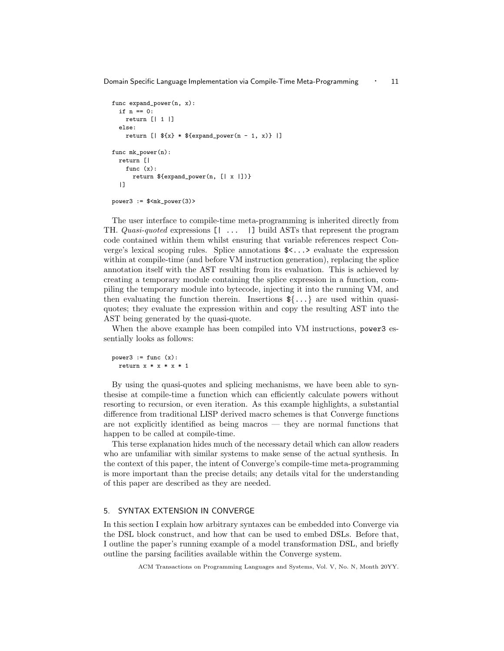Domain Specific Language Implementation via Compile-Time Meta-Programming  $\cdot$  11

```
func expand_power(n, x):
  if n == 0:
    return [| 1 |]
  else:
    return [ | $x] * ${expand\_power(n - 1, x)} ] ]func mk_power(n):
  return [|
    func (x):
      return ${expand_power(n, [| x |])}
  |]
```

```
power3 := \frac{R}{m} power(3)>
```
The user interface to compile-time meta-programming is inherited directly from TH. Quasi-quoted expressions [| ... |] build ASTs that represent the program code contained within them whilst ensuring that variable references respect Converge's lexical scoping rules. Splice annotations \$<...> evaluate the expression within at compile-time (and before VM instruction generation), replacing the splice annotation itself with the AST resulting from its evaluation. This is achieved by creating a temporary module containing the splice expression in a function, compiling the temporary module into bytecode, injecting it into the running VM, and then evaluating the function therein. Insertions  $\mathcal{F}\{\ldots\}$  are used within quasiquotes; they evaluate the expression within and copy the resulting AST into the AST being generated by the quasi-quote.

When the above example has been compiled into VM instructions, power3 essentially looks as follows:

power3 :=  $func(x)$ : return  $x * x * x * 1$ 

By using the quasi-quotes and splicing mechanisms, we have been able to synthesise at compile-time a function which can efficiently calculate powers without resorting to recursion, or even iteration. As this example highlights, a substantial difference from traditional LISP derived macro schemes is that Converge functions are not explicitly identified as being macros — they are normal functions that happen to be called at compile-time.

This terse explanation hides much of the necessary detail which can allow readers who are unfamiliar with similar systems to make sense of the actual synthesis. In the context of this paper, the intent of Converge's compile-time meta-programming is more important than the precise details; any details vital for the understanding of this paper are described as they are needed.

#### 5. SYNTAX EXTENSION IN CONVERGE

In this section I explain how arbitrary syntaxes can be embedded into Converge via the DSL block construct, and how that can be used to embed DSLs. Before that, I outline the paper's running example of a model transformation DSL, and briefly outline the parsing facilities available within the Converge system.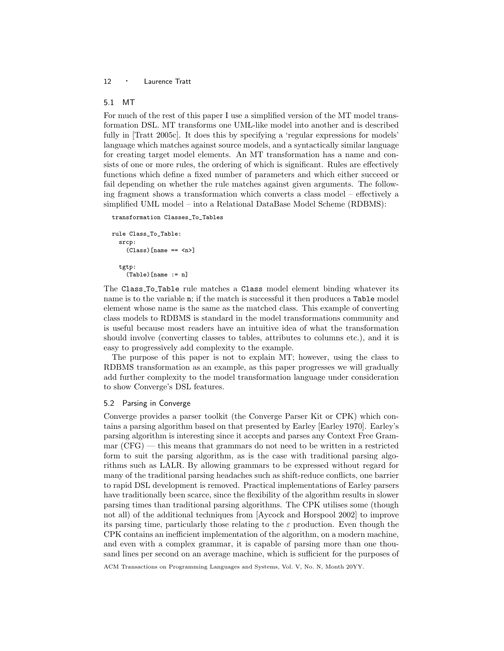#### 5.1 MT

For much of the rest of this paper I use a simplified version of the MT model transformation DSL. MT transforms one UML-like model into another and is described fully in [Tratt 2005c]. It does this by specifying a 'regular expressions for models' language which matches against source models, and a syntactically similar language for creating target model elements. An MT transformation has a name and consists of one or more rules, the ordering of which is significant. Rules are effectively functions which define a fixed number of parameters and which either succeed or fail depending on whether the rule matches against given arguments. The following fragment shows a transformation which converts a class model – effectively a simplified UML model – into a Relational DataBase Model Scheme (RDBMS):

transformation Classes\_To\_Tables rule Class\_To\_Table: srcp:  $(Class)[name ==$ tgtp:

(Table)[name := n]

The Class To Table rule matches a Class model element binding whatever its name is to the variable n; if the match is successful it then produces a Table model element whose name is the same as the matched class. This example of converting class models to RDBMS is standard in the model transformations community and is useful because most readers have an intuitive idea of what the transformation should involve (converting classes to tables, attributes to columns etc.), and it is easy to progressively add complexity to the example.

The purpose of this paper is not to explain MT; however, using the class to RDBMS transformation as an example, as this paper progresses we will gradually add further complexity to the model transformation language under consideration to show Converge's DSL features.

#### 5.2 Parsing in Converge

Converge provides a parser toolkit (the Converge Parser Kit or CPK) which contains a parsing algorithm based on that presented by Earley [Earley 1970]. Earley's parsing algorithm is interesting since it accepts and parses any Context Free Grammar (CFG) — this means that grammars do not need to be written in a restricted form to suit the parsing algorithm, as is the case with traditional parsing algorithms such as LALR. By allowing grammars to be expressed without regard for many of the traditional parsing headaches such as shift-reduce conflicts, one barrier to rapid DSL development is removed. Practical implementations of Earley parsers have traditionally been scarce, since the flexibility of the algorithm results in slower parsing times than traditional parsing algorithms. The CPK utilises some (though not all) of the additional techniques from [Aycock and Horspool 2002] to improve its parsing time, particularly those relating to the  $\varepsilon$  production. Even though the CPK contains an inefficient implementation of the algorithm, on a modern machine, and even with a complex grammar, it is capable of parsing more than one thousand lines per second on an average machine, which is sufficient for the purposes of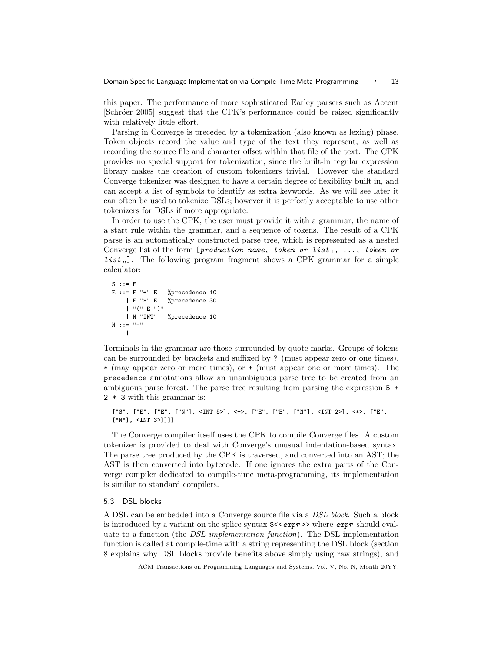this paper. The performance of more sophisticated Earley parsers such as Accent [Schröer 2005] suggest that the CPK's performance could be raised significantly with relatively little effort.

Parsing in Converge is preceded by a tokenization (also known as lexing) phase. Token objects record the value and type of the text they represent, as well as recording the source file and character offset within that file of the text. The CPK provides no special support for tokenization, since the built-in regular expression library makes the creation of custom tokenizers trivial. However the standard Converge tokenizer was designed to have a certain degree of flexibility built in, and can accept a list of symbols to identify as extra keywords. As we will see later it can often be used to tokenize DSLs; however it is perfectly acceptable to use other tokenizers for DSLs if more appropriate.

In order to use the CPK, the user must provide it with a grammar, the name of a start rule within the grammar, and a sequence of tokens. The result of a CPK parse is an automatically constructed parse tree, which is represented as a nested Converge list of the form [production name, token or list<sub>1</sub>, ..., token or  $list_n$ . The following program fragment shows a CPK grammar for a simple calculator:

```
S : := EE ::= E "+" E %precedence 10
   | E "*" E %precedence 30
    | "(" E ")"
    | N "INT" %precedence 10
N : := " - "|
```
Terminals in the grammar are those surrounded by quote marks. Groups of tokens can be surrounded by brackets and suffixed by ? (must appear zero or one times), \* (may appear zero or more times), or + (must appear one or more times). The precedence annotations allow an unambiguous parse tree to be created from an ambiguous parse forest. The parse tree resulting from parsing the expression 5 + 2 \* 3 with this grammar is:

["S", ["E", ["E", ["N"], <INT 5>], <+>, ["E", ["E", ["N"], <INT 2>], <\*>, ["E", ["N"], <INT 3>]]]]

The Converge compiler itself uses the CPK to compile Converge files. A custom tokenizer is provided to deal with Converge's unusual indentation-based syntax. The parse tree produced by the CPK is traversed, and converted into an AST; the AST is then converted into bytecode. If one ignores the extra parts of the Converge compiler dedicated to compile-time meta-programming, its implementation is similar to standard compilers.

#### 5.3 DSL blocks

A DSL can be embedded into a Converge source file via a DSL block. Such a block is introduced by a variant on the splice syntax  $\sqrt{\epsilon x}$  =  $\sqrt{\epsilon x}$  should evaluate to a function (the *DSL implementation function*). The DSL implementation function is called at compile-time with a string representing the DSL block (section 8 explains why DSL blocks provide benefits above simply using raw strings), and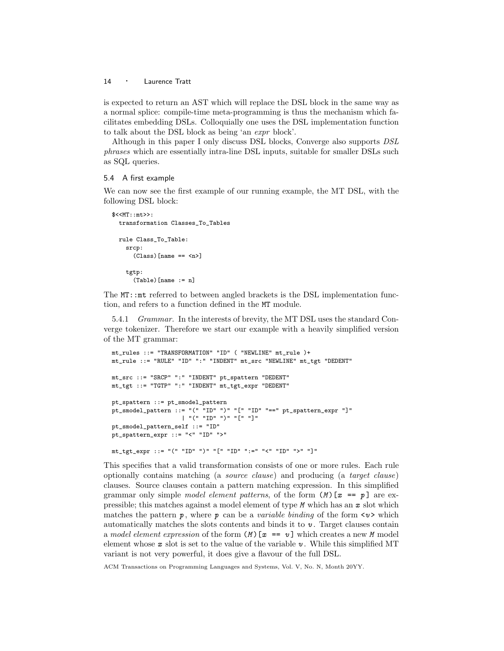is expected to return an AST which will replace the DSL block in the same way as a normal splice: compile-time meta-programming is thus the mechanism which facilitates embedding DSLs. Colloquially one uses the DSL implementation function to talk about the DSL block as being 'an expr block'.

Although in this paper I only discuss DSL blocks, Converge also supports DSL phrases which are essentially intra-line DSL inputs, suitable for smaller DSLs such as SQL queries.

#### 5.4 A first example

We can now see the first example of our running example, the MT DSL, with the following DSL block:

```
$<<MT::mt>>:
  transformation Classes_To_Tables
  rule Class_To_Table:
    srcp:
      (Class)[name == <n>tgtp:
      (Table)[name := n]
```
The MT::mt referred to between angled brackets is the DSL implementation function, and refers to a function defined in the MT module.

5.4.1 Grammar. In the interests of brevity, the MT DSL uses the standard Converge tokenizer. Therefore we start our example with a heavily simplified version of the MT grammar:

```
mt_rules ::= "TRANSFORMATION" "ID" ( "NEWLINE" mt_rule )+
mt_rule ::= "RULE" "ID" ":" "INDENT" mt_src "NEWLINE" mt_tgt "DEDENT"
mt_src ::= "SRCP" ":" "INDENT" pt_spattern "DEDENT"
mt_tgt ::= "TGTP" ":" "INDENT" mt_tgt_expr "DEDENT"
pt_spattern ::= pt_smodel_pattern
pt_smodel_pattern ::= "(" "ID" ")" "[" "ID" "==" pt_spattern_expr "]"
                    | "(" "ID" ")" "[" "]"
pt_smodel_pattern_self ::= "ID"
pt_spattern_expr ::= "<" "ID" ">"
mt_tgt_expr ::= "(" "ID" ")" "[" "ID" ":=" "<" "ID" ">" "]"
```
This specifies that a valid transformation consists of one or more rules. Each rule optionally contains matching (a source clause) and producing (a target clause) clauses. Source clauses contain a pattern matching expression. In this simplified grammar only simple model element patterns, of the form  $(M)$  [ $x == p$ ] are expressible; this matches against a model element of type  $M$  which has an  $x$  slot which matches the pattern  $p$ , where  $p$  can be a *variable binding* of the form  $\langle v \rangle$  which automatically matches the slots contents and binds it to  $v$ . Target clauses contain a model element expression of the form  $(M)$   $[x == v]$  which creates a new M model element whose  $x$  slot is set to the value of the variable  $v$ . While this simplified MT variant is not very powerful, it does give a flavour of the full DSL.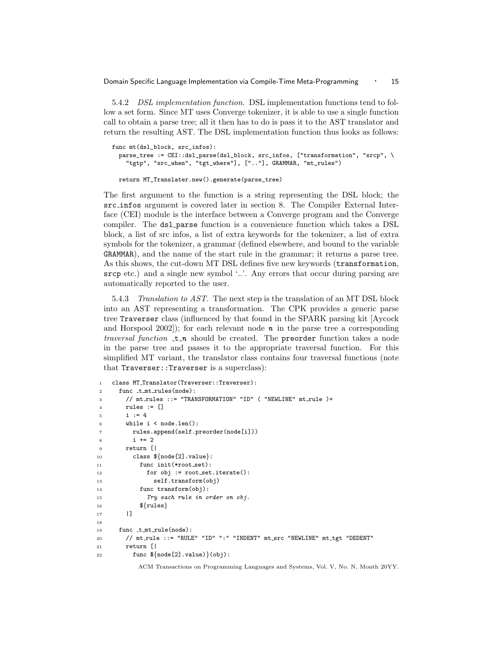5.4.2 DSL implementation function. DSL implementation functions tend to follow a set form. Since MT uses Converge tokenizer, it is able to use a single function call to obtain a parse tree; all it then has to do is pass it to the AST translator and return the resulting AST. The DSL implementation function thus looks as follows:

```
func mt(dsl_block, src_infos):
 parse_tree := CEI::dsl_parse(dsl_block, src_infos, ["transformation", "srcp", \
    "tgtp", "src_when", "tgt_where"], [".."], GRAMMAR, "mt_rules")
```

```
return MT_Translater.new().generate(parse_tree)
```
The first argument to the function is a string representing the DSL block; the src infos argument is covered later in section 8. The Compiler External Interface (CEI) module is the interface between a Converge program and the Converge compiler. The dsl parse function is a convenience function which takes a DSL block, a list of src infos, a list of extra keywords for the tokenizer, a list of extra symbols for the tokenizer, a grammar (defined elsewhere, and bound to the variable GRAMMAR), and the name of the start rule in the grammar; it returns a parse tree. As this shows, the cut-down MT DSL defines five new keywords (transformation, srcp etc.) and a single new symbol '..'. Any errors that occur during parsing are automatically reported to the user.

5.4.3 Translation to AST. The next step is the translation of an MT DSL block into an AST representing a transformation. The CPK provides a generic parse tree Traverser class (influenced by that found in the SPARK parsing kit [Aycock and Horspool 2002); for each relevant node  $n$  in the parse tree a corresponding traversal function  $\pm n$  should be created. The preorder function takes a node in the parse tree and passes it to the appropriate traversal function. For this simplified MT variant, the translator class contains four traversal functions (note that Traverser::Traverser is a superclass):

```
1 class MT Translator(Traverser::Traverser):
2 func t_mt_rules(node):
3 // mt_rules ::= "TRANSFORMATION" "ID" ( "NEWLINE" mt_rule )+
4 rules := []
5 \t i := 46 while i < node.len():
7 rules.append(self.preorder(node[i]))
8 i += 2
9 return [|
10 class \{node[2].value\}:
11 func init(*root_set):
12 for obj := root_set.iterate():
13 self.transform(obj)
14 func transform(obj):
15 Try each rule in order on obj.
16 ${rules}
17 |]
18
19 func t mt rule(node):
20 // mt_rule ::= "RULE" "ID" ":" "INDENT" mt_src "NEWLINE" mt_tgt "DEDENT"
21 return [|
22 func \{node[2].value\}(\text{obj}):
```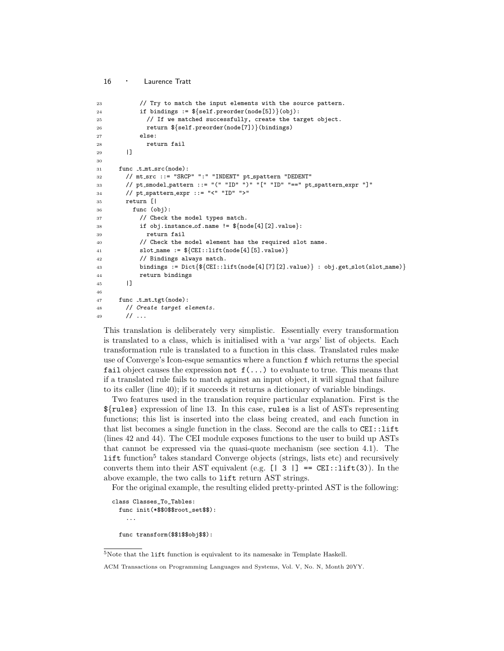```
16 · Laurence Tratt
```

```
23 // Try to match the input elements with the source pattern.
24 if bindings := \frac{24}{100} if bindings := \frac{24}{100} = \frac{24}{100} = \frac{24}{100} = \frac{24}{100} = \frac{24}{100} = \frac{24}{100} = \frac{24}{100} = \frac{24}{100} = \frac{24}{100} = \frac{24}{100} = \frac{24}{100} = \frac{24}{10025 // If we matched successfully, create the target object.
26 return ${self.preorder(node[7])}(bindings)
27 else:
28 return fail
29 |]
30
31 func _t_mt_src(node):
32 // mt_src ::= "SRCP" ":" "INDENT" pt_spattern "DEDENT"
33 // pt_smodel_pattern ::= "(" "ID" ")" ^{\text{II}} "ID" "==" pt_spattern_expr "]"
34 // pt spattern expr ::= "<" "ID" ">"
35 return [|
36 func (obj):
37 // Check the model types match.
38 if obj.instance of.name != ${node[4][2].value}:
39 return fail
40 // Check the model element has the required slot name.
41 \text{slot_name} := \frac{\text{GET}:\text{lift}(\text{node}[4][5], \text{value})}{\text{model}}42 // Bindings always match.
43 bindings := Dict{${CEI::lift(node[4][7][2].value)} : obj.get slot(slot name)}
44 return bindings
45 |]
46
47 func t_mt_tgt(node):
48 // Create target elements.
49 // \ldots
```
This translation is deliberately very simplistic. Essentially every transformation is translated to a class, which is initialised with a 'var args' list of objects. Each transformation rule is translated to a function in this class. Translated rules make use of Converge's Icon-esque semantics where a function f which returns the special fail object causes the expression not  $f(\ldots)$  to evaluate to true. This means that if a translated rule fails to match against an input object, it will signal that failure to its caller (line 40); if it succeeds it returns a dictionary of variable bindings.

Two features used in the translation require particular explanation. First is the  $\{\text{rules}\}\$  expression of line 13. In this case, rules is a list of ASTs representing functions; this list is inserted into the class being created, and each function in that list becomes a single function in the class. Second are the calls to  $CEI::lift$ (lines 42 and 44). The CEI module exposes functions to the user to build up ASTs that cannot be expressed via the quasi-quote mechanism (see section 4.1). The lift function<sup>5</sup> takes standard Converge objects (strings, lists etc) and recursively converts them into their AST equivalent (e.g.  $[1 \ 3 \ 1] == \mathsf{CEI}$ : : lift(3)). In the above example, the two calls to lift return AST strings.

For the original example, the resulting elided pretty-printed AST is the following:

```
class Classes_To_Tables:
  func init(*$$0$$root_set$$):
    ...
  func transform($$1$$obj$$):
```
 $^{5}\rm{Note}$  that the  $1$ ift function is equivalent to its namesake in Template Haskell.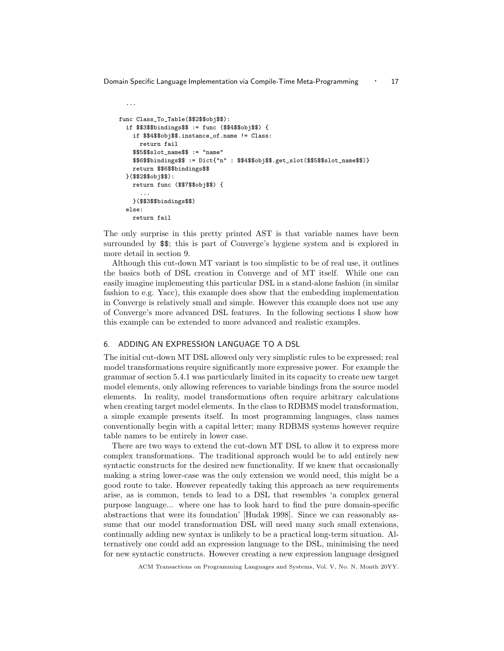Domain Specific Language Implementation via Compile-Time Meta-Programming • 17

```
...
func Class_To_Table($$2$$obj$$):
 if $$3$$bindings$$ := func ($$4$$obj$$) {
    if $$4$$obj$$.instance_of.name != Class:
      return fail
    $$5$$slot_name$$ := "name"
    $$6$$bindings$$ := Dict{"n" : $$4$$obj$$.get_slot($$5$$slot_name$$)}
    return $$6$$bindings$$
 }($$2$$obj$$):
   return func ($$7$$obj$$) {
      ...
    }($$3$$bindings$$)
  else:
    return fail
```
The only surprise in this pretty printed AST is that variable names have been surrounded by \$\$; this is part of Converge's hygiene system and is explored in more detail in section 9.

Although this cut-down MT variant is too simplistic to be of real use, it outlines the basics both of DSL creation in Converge and of MT itself. While one can easily imagine implementing this particular DSL in a stand-alone fashion (in similar fashion to e.g. Yacc), this example does show that the embedding implementation in Converge is relatively small and simple. However this example does not use any of Converge's more advanced DSL features. In the following sections I show how this example can be extended to more advanced and realistic examples.

#### 6. ADDING AN EXPRESSION LANGUAGE TO A DSL

The initial cut-down MT DSL allowed only very simplistic rules to be expressed; real model transformations require significantly more expressive power. For example the grammar of section 5.4.1 was particularly limited in its capacity to create new target model elements, only allowing references to variable bindings from the source model elements. In reality, model transformations often require arbitrary calculations when creating target model elements. In the class to RDBMS model transformation, a simple example presents itself. In most programming languages, class names conventionally begin with a capital letter; many RDBMS systems however require table names to be entirely in lower case.

There are two ways to extend the cut-down MT DSL to allow it to express more complex transformations. The traditional approach would be to add entirely new syntactic constructs for the desired new functionality. If we knew that occasionally making a string lower-case was the only extension we would need, this might be a good route to take. However repeatedly taking this approach as new requirements arise, as is common, tends to lead to a DSL that resembles 'a complex general purpose language... where one has to look hard to find the pure domain-specific abstractions that were its foundation' [Hudak 1998]. Since we can reasonably assume that our model transformation DSL will need many such small extensions, continually adding new syntax is unlikely to be a practical long-term situation. Alternatively one could add an expression language to the DSL, minimising the need for new syntactic constructs. However creating a new expression language designed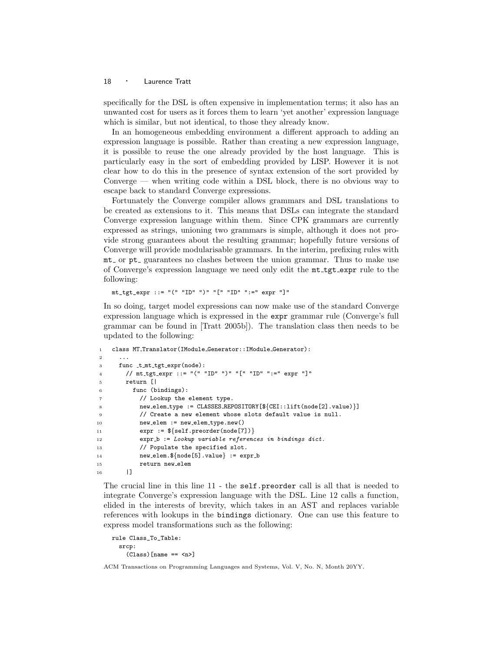specifically for the DSL is often expensive in implementation terms; it also has an unwanted cost for users as it forces them to learn 'yet another' expression language which is similar, but not identical, to those they already know.

In an homogeneous embedding environment a different approach to adding an expression language is possible. Rather than creating a new expression language, it is possible to reuse the one already provided by the host language. This is particularly easy in the sort of embedding provided by LISP. However it is not clear how to do this in the presence of syntax extension of the sort provided by Converge — when writing code within a DSL block, there is no obvious way to escape back to standard Converge expressions.

Fortunately the Converge compiler allows grammars and DSL translations to be created as extensions to it. This means that DSLs can integrate the standard Converge expression language within them. Since CPK grammars are currently expressed as strings, unioning two grammars is simple, although it does not provide strong guarantees about the resulting grammar; hopefully future versions of Converge will provide modularisable grammars. In the interim, prefixing rules with mt or pt guarantees no clashes between the union grammar. Thus to make use of Converge's expression language we need only edit the mt tgt expr rule to the following:

 $mt\_tgt\_expr :: = "(" "ID" ")" "[' "ID" "iz" :: = " expr "]"$ 

In so doing, target model expressions can now make use of the standard Converge expression language which is expressed in the expr grammar rule (Converge's full grammar can be found in [Tratt 2005b]). The translation class then needs to be updated to the following:

```
1 class MT Translator(IModule Generator::IModule Generator):
 2 ...
3 func t mt tgt expr(node):
4 // mt_tgt_expr ::= "(" "ID" ")" "[" "ID" ":=" expr "]"
5 return [|
6 func (bindings):
7 // Lookup the element type.
8 new_elem_type := CLASSES_REPOSITORY[${CEI::lift(node[2].value)}]
9 // Create a new element whose slots default value is null.
10 new_elem := new_elem_type.new()
11 expr := \{\text{self. preorder}(\text{node}[7])\}12 expr_b := Lookup variable references in bindings dict.
13 // Populate the specified slot.
14 new_elem.\{\text{node}[5] \cdot \text{value}\} := expr_b
15 return new elem
16 | 1
```
The crucial line in this line 11 - the self.preorder call is all that is needed to integrate Converge's expression language with the DSL. Line 12 calls a function, elided in the interests of brevity, which takes in an AST and replaces variable references with lookups in the bindings dictionary. One can use this feature to express model transformations such as the following:

```
rule Class_To_Table:
  srcp:
     (Class)[name == \langle n \rangle]
```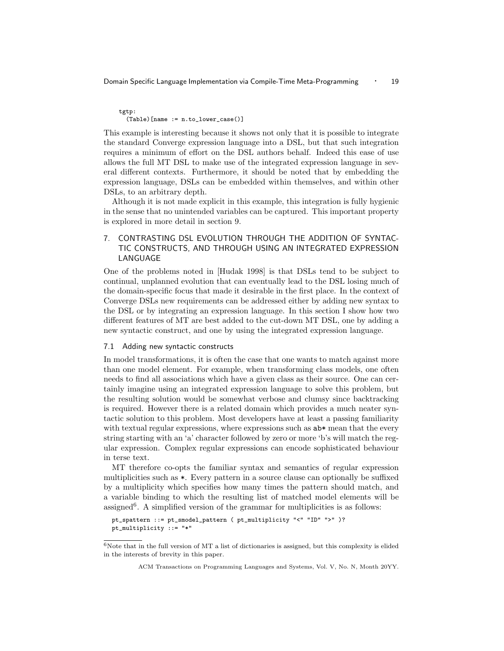tgtp: (Table)[name := n.to\_lower\_case()]

This example is interesting because it shows not only that it is possible to integrate the standard Converge expression language into a DSL, but that such integration requires a minimum of effort on the DSL authors behalf. Indeed this ease of use allows the full MT DSL to make use of the integrated expression language in several different contexts. Furthermore, it should be noted that by embedding the expression language, DSLs can be embedded within themselves, and within other DSLs, to an arbitrary depth.

Although it is not made explicit in this example, this integration is fully hygienic in the sense that no unintended variables can be captured. This important property is explored in more detail in section 9.

#### 7. CONTRASTING DSL EVOLUTION THROUGH THE ADDITION OF SYNTAC-TIC CONSTRUCTS, AND THROUGH USING AN INTEGRATED EXPRESSION LANGUAGE

One of the problems noted in [Hudak 1998] is that DSLs tend to be subject to continual, unplanned evolution that can eventually lead to the DSL losing much of the domain-specific focus that made it desirable in the first place. In the context of Converge DSLs new requirements can be addressed either by adding new syntax to the DSL or by integrating an expression language. In this section I show how two different features of MT are best added to the cut-down MT DSL, one by adding a new syntactic construct, and one by using the integrated expression language.

#### 7.1 Adding new syntactic constructs

In model transformations, it is often the case that one wants to match against more than one model element. For example, when transforming class models, one often needs to find all associations which have a given class as their source. One can certainly imagine using an integrated expression language to solve this problem, but the resulting solution would be somewhat verbose and clumsy since backtracking is required. However there is a related domain which provides a much neater syntactic solution to this problem. Most developers have at least a passing familiarity with textual regular expressions, where expressions such as  $ab*$  mean that the every string starting with an 'a' character followed by zero or more 'b's will match the regular expression. Complex regular expressions can encode sophisticated behaviour in terse text.

MT therefore co-opts the familiar syntax and semantics of regular expression multiplicities such as \*. Every pattern in a source clause can optionally be suffixed by a multiplicity which specifies how many times the pattern should match, and a variable binding to which the resulting list of matched model elements will be assigned<sup>6</sup>. A simplified version of the grammar for multiplicities is as follows:

pt\_spattern ::= pt\_smodel\_pattern ( pt\_multiplicity "<" "ID" ">" )? pt\_multiplicity ::= "\*"

 $^6$  Note that in the full version of MT a list of dictionaries is assigned, but this complexity is elided in the interests of brevity in this paper.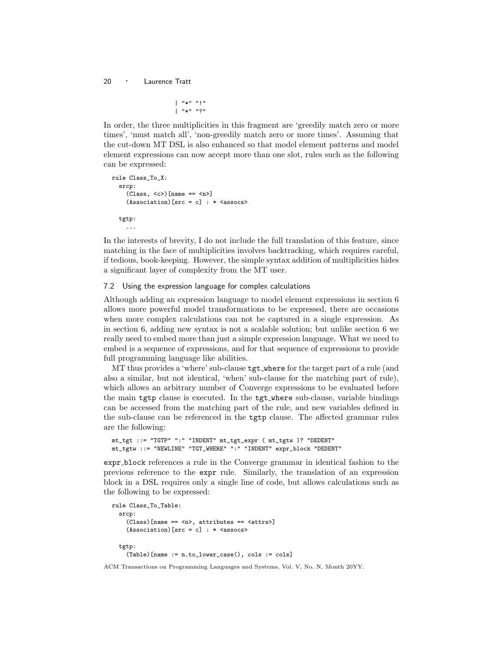$|$   $\cdots$   $\ast$  " $\cdots$  " $\cdots$ " | "\*" "?"

In order, the three multiplicities in this fragment are 'greedily match zero or more times', 'must match all', 'non-greedily match zero or more times'. Assuming that the cut-down MT DSL is also enhanced so that model element patterns and model element expressions can now accept more than one slot, rules such as the following can be expressed:

```
rule Class_To_X:
  srcp:
     (Class, < c) [name == \langle n \rangle]
     (Association)[src = c] : * \langle Assocs>
  tgtp:
     ...
```
In the interests of brevity, I do not include the full translation of this feature, since matching in the face of multiplicities involves backtracking, which requires careful, if tedious, book-keeping. However, the simple syntax addition of multiplicities hides a significant layer of complexity from the MT user.

#### 7.2 Using the expression language for complex calculations

Although adding an expression language to model element expressions in section 6 allows more powerful model transformations to be expressed, there are occasions when more complex calculations can not be captured in a single expression. As in section 6, adding new syntax is not a scalable solution; but unlike section 6 we really need to embed more than just a simple expression language. What we need to embed is a sequence of expressions, and for that sequence of expressions to provide full programming language like abilities.

MT thus provides a 'where' sub-clause  $tgt\_where$  for the target part of a rule (and also a similar, but not identical, 'when' sub-clause for the matching part of rule), which allows an arbitrary number of Converge expressions to be evaluated before the main tgtp clause is executed. In the tgt\_where sub-clause, variable bindings can be accessed from the matching part of the rule, and new variables defined in the sub-clause can be referenced in the tgtp clause. The affected grammar rules are the following:

```
mt_tgt ::= "TGTP" ":" "INDENT" mt_tgt_expr ( mt_tgtw )? "DEDENT"
mt_tgtw ::= "NEWLINE" "TGT_WHERE" ":" "INDENT" expr_block "DEDENT"
```
expr block references a rule in the Converge grammar in identical fashion to the previous reference to the expr rule. Similarly, the translation of an expression block in a DSL requires only a single line of code, but allows calculations such as the following to be expressed:

```
rule Class_To_Table:
  srcp:
    (Class)[name == <n>, attributes == <attrs>]
    (Association)[src = c] : * <assocs>
  tgtp:
    (Table)[name := n.to_lower_case(), cols := cols]
```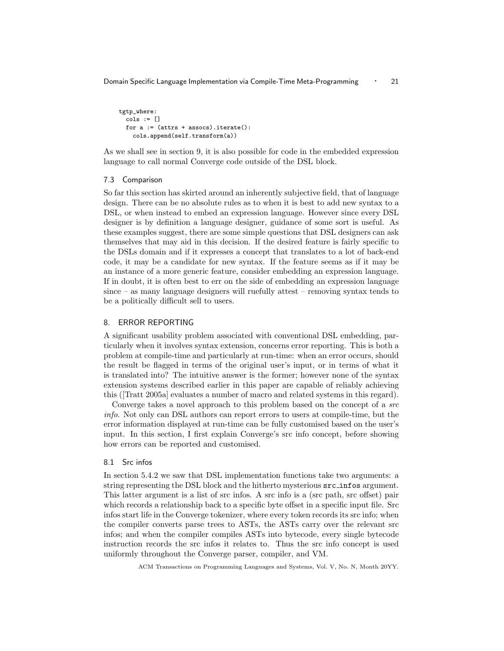```
tgtp_where:
 cols := []for a := (attrs + assocs).iterate():
   cols.append(self.transform(a))
```
As we shall see in section 9, it is also possible for code in the embedded expression language to call normal Converge code outside of the DSL block.

#### 7.3 Comparison

So far this section has skirted around an inherently subjective field, that of language design. There can be no absolute rules as to when it is best to add new syntax to a DSL, or when instead to embed an expression language. However since every DSL designer is by definition a language designer, guidance of some sort is useful. As these examples suggest, there are some simple questions that DSL designers can ask themselves that may aid in this decision. If the desired feature is fairly specific to the DSLs domain and if it expresses a concept that translates to a lot of back-end code, it may be a candidate for new syntax. If the feature seems as if it may be an instance of a more generic feature, consider embedding an expression language. If in doubt, it is often best to err on the side of embedding an expression language since – as many language designers will ruefully attest – removing syntax tends to be a politically difficult sell to users.

#### 8. ERROR REPORTING

A significant usability problem associated with conventional DSL embedding, particularly when it involves syntax extension, concerns error reporting. This is both a problem at compile-time and particularly at run-time: when an error occurs, should the result be flagged in terms of the original user's input, or in terms of what it is translated into? The intuitive answer is the former; however none of the syntax extension systems described earlier in this paper are capable of reliably achieving this ([Tratt 2005a] evaluates a number of macro and related systems in this regard).

Converge takes a novel approach to this problem based on the concept of a *src* info. Not only can DSL authors can report errors to users at compile-time, but the error information displayed at run-time can be fully customised based on the user's input. In this section, I first explain Converge's src info concept, before showing how errors can be reported and customised.

#### 8.1 Src infos

In section 5.4.2 we saw that DSL implementation functions take two arguments: a string representing the DSL block and the hitherto mysterious src infos argument. This latter argument is a list of src infos. A src info is a (src path, src offset) pair which records a relationship back to a specific byte offset in a specific input file. Src infos start life in the Converge tokenizer, where every token records its src info; when the compiler converts parse trees to ASTs, the ASTs carry over the relevant src infos; and when the compiler compiles ASTs into bytecode, every single bytecode instruction records the src infos it relates to. Thus the src info concept is used uniformly throughout the Converge parser, compiler, and VM.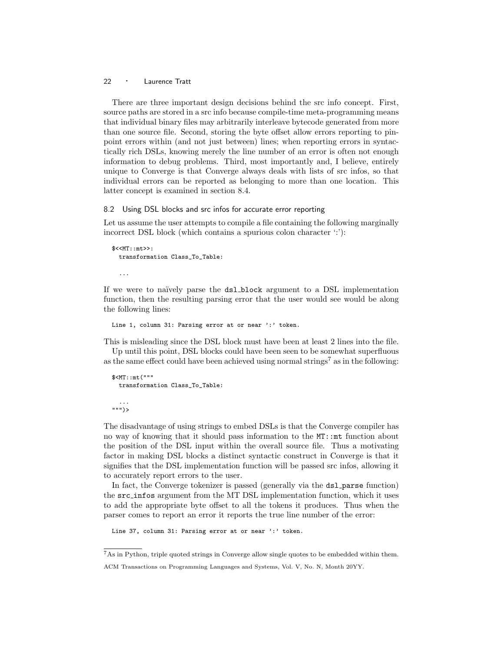There are three important design decisions behind the src info concept. First, source paths are stored in a src info because compile-time meta-programming means that individual binary files may arbitrarily interleave bytecode generated from more than one source file. Second, storing the byte offset allow errors reporting to pinpoint errors within (and not just between) lines; when reporting errors in syntactically rich DSLs, knowing merely the line number of an error is often not enough information to debug problems. Third, most importantly and, I believe, entirely unique to Converge is that Converge always deals with lists of src infos, so that individual errors can be reported as belonging to more than one location. This latter concept is examined in section 8.4.

#### 8.2 Using DSL blocks and src infos for accurate error reporting

Let us assume the user attempts to compile a file containing the following marginally incorrect DSL block (which contains a spurious colon character  $\cdot$ :):

```
$<<MT::mt>>:
  transformation Class_To_Table:
```
...

If we were to naïvely parse the dsl\_block argument to a DSL implementation function, then the resulting parsing error that the user would see would be along the following lines:

```
Line 1, column 31: Parsing error at or near ':' token.
```
This is misleading since the DSL block must have been at least 2 lines into the file. Up until this point, DSL blocks could have been seen to be somewhat superfluous

as the same effect could have been achieved using normal strings<sup>7</sup> as in the following:

```
$<MT::mt("""
  transformation Class_To_Table:
  ...
""")>
```
The disadvantage of using strings to embed DSLs is that the Converge compiler has no way of knowing that it should pass information to the MT::mt function about the position of the DSL input within the overall source file. Thus a motivating factor in making DSL blocks a distinct syntactic construct in Converge is that it signifies that the DSL implementation function will be passed src infos, allowing it to accurately report errors to the user.

In fact, the Converge tokenizer is passed (generally via the dsl parse function) the src infos argument from the MT DSL implementation function, which it uses to add the appropriate byte offset to all the tokens it produces. Thus when the parser comes to report an error it reports the true line number of the error:

Line 37, column 31: Parsing error at or near ':' token.

<sup>7</sup>As in Python, triple quoted strings in Converge allow single quotes to be embedded within them.

ACM Transactions on Programming Languages and Systems, Vol. V, No. N, Month 20YY.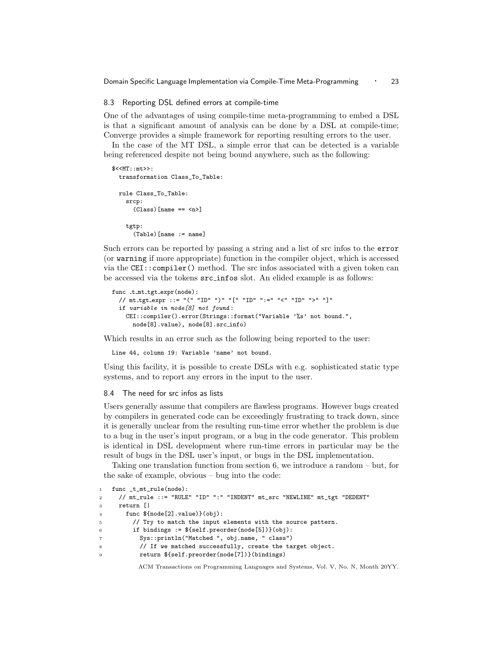Domain Specific Language Implementation via Compile-Time Meta-Programming • 23

#### 8.3 Reporting DSL defined errors at compile-time

One of the advantages of using compile-time meta-programming to embed a DSL is that a significant amount of analysis can be done by a DSL at compile-time; Converge provides a simple framework for reporting resulting errors to the user.

In the case of the MT DSL, a simple error that can be detected is a variable being referenced despite not being bound anywhere, such as the following:

```
$<<MT::mt>>:
  transformation Class_To_Table:
  rule Class_To_Table:
    srcp:
       (Class)[name == \langle n \rangle]
     tgtp:
       (Table)[name := name]
```
Such errors can be reported by passing a string and a list of src infos to the error (or warning if more appropriate) function in the compiler object, which is accessed via the CEI::compiler() method. The src infos associated with a given token can be accessed via the tokens src infos slot. An elided example is as follows:

```
func _t_mt_tgt_expr(node):
  // mt tgt expr ::= "(" "ID" ")" "[" "ID" ":=" "<" "ID" ">" "]"
  if variable in node[8] not found :
    CEI::compiler().error(Strings::format("Variable '%s' not bound.",
      node[8].value), node[8].src info)
```
Which results in an error such as the following being reported to the user:

Line 44, column 19: Variable 'name' not bound.

Using this facility, it is possible to create DSLs with e.g. sophisticated static type systems, and to report any errors in the input to the user.

#### 8.4 The need for src infos as lists

Users generally assume that compilers are flawless programs. However bugs created by compilers in generated code can be exceedingly frustrating to track down, since it is generally unclear from the resulting run-time error whether the problem is due to a bug in the user's input program, or a bug in the code generator. This problem is identical in DSL development where run-time errors in particular may be the result of bugs in the DSL user's input, or bugs in the DSL implementation.

Taking one translation function from section 6, we introduce a random – but, for the sake of example, obvious – bug into the code:

```
1 func _t_mt_rule(node):
2 // mt_rule ::= "RULE" "ID" ":" "INDENT" mt_src "NEWLINE" mt_tgt "DEDENT"
3 return [|
      func \{node[2].value\}(obj):
5 // Try to match the input elements with the source pattern.
6 if bindings := \$(self.preorder(node[5])\)(obj):7 Sys::println("Matched ", obj.name, " class")
8 // If we matched successfully, create the target object.
9 return ${self.preorder(node[7])}(bindings)
```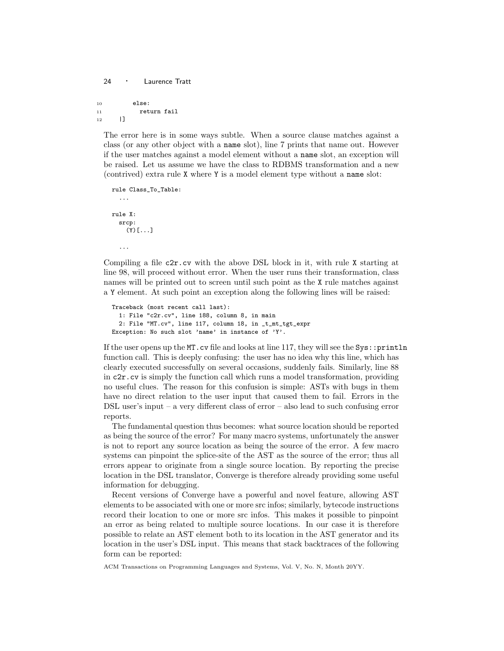```
24 · Laurence Tratt
10 else:
11 return fail
12 |]
```
The error here is in some ways subtle. When a source clause matches against a class (or any other object with a name slot), line 7 prints that name out. However if the user matches against a model element without a name slot, an exception will be raised. Let us assume we have the class to RDBMS transformation and a new (contrived) extra rule X where Y is a model element type without a name slot:

```
rule Class_To_Table:
  ...
rule X:
  srcp:
    (Y)[...]
  ...
```
Compiling a file c2r.cv with the above DSL block in it, with rule X starting at line 98, will proceed without error. When the user runs their transformation, class names will be printed out to screen until such point as the X rule matches against a Y element. At such point an exception along the following lines will be raised:

```
Traceback (most recent call last):
  1: File "c2r.cv", line 188, column 8, in main
  2: File "MT.cv", line 117, column 18, in _t_mt_tgt_expr
Exception: No such slot 'name' in instance of 'Y'.
```
If the user opens up the  $MT$ .cv file and looks at line 117, they will see the  $Sys::printIn$ function call. This is deeply confusing: the user has no idea why this line, which has clearly executed successfully on several occasions, suddenly fails. Similarly, line 88 in c2r.cv is simply the function call which runs a model transformation, providing no useful clues. The reason for this confusion is simple: ASTs with bugs in them have no direct relation to the user input that caused them to fail. Errors in the DSL user's input – a very different class of error – also lead to such confusing error reports.

The fundamental question thus becomes: what source location should be reported as being the source of the error? For many macro systems, unfortunately the answer is not to report any source location as being the source of the error. A few macro systems can pinpoint the splice-site of the AST as the source of the error; thus all errors appear to originate from a single source location. By reporting the precise location in the DSL translator, Converge is therefore already providing some useful information for debugging.

Recent versions of Converge have a powerful and novel feature, allowing AST elements to be associated with one or more src infos; similarly, bytecode instructions record their location to one or more src infos. This makes it possible to pinpoint an error as being related to multiple source locations. In our case it is therefore possible to relate an AST element both to its location in the AST generator and its location in the user's DSL input. This means that stack backtraces of the following form can be reported: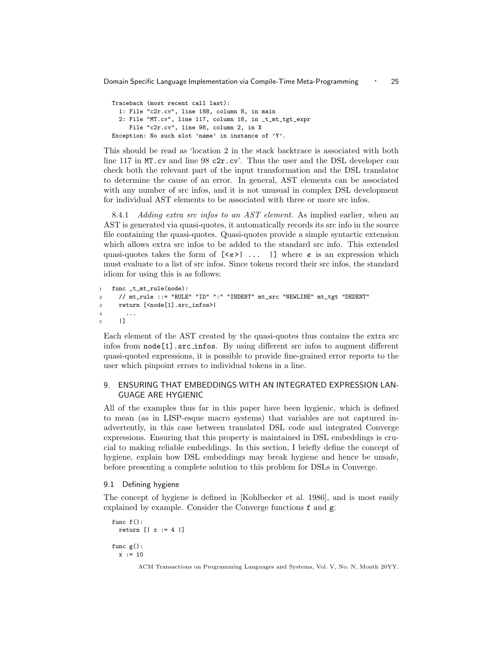Domain Specific Language Implementation via Compile-Time Meta-Programming • 25

Traceback (most recent call last): 1: File "c2r.cv", line 188, column 8, in main 2: File "MT.cv", line 117, column 18, in \_t\_mt\_tgt\_expr File "c2r.cv", line 98, column 2, in X Exception: No such slot 'name' in instance of 'Y'.

This should be read as 'location 2 in the stack backtrace is associated with both line 117 in  $MT$ .cv and line 98 c2 $r$ .cv'. Thus the user and the DSL developer can check both the relevant part of the input transformation and the DSL translator to determine the cause of an error. In general, AST elements can be associated with any number of src infos, and it is not unusual in complex DSL development for individual AST elements to be associated with three or more src infos.

8.4.1 Adding extra src infos to an AST element. As implied earlier, when an AST is generated via quasi-quotes, it automatically records its src info in the source file containing the quasi-quotes. Quasi-quotes provide a simple syntactic extension which allows extra src infos to be added to the standard src info. This extended quasi-quotes takes the form of  $\leq e > | \ldots |$  where e is an expression which must evaluate to a list of src infos. Since tokens record their src infos, the standard idiom for using this is as follows:

```
func _t_mt_rule(node):
2 // mt_rule ::= "RULE" "ID" ":" "INDENT" mt_src "NEWLINE" mt_tgt "DEDENT"
3 return [<node[1].src_infos>|
4 ...
5 |]
```
Each element of the AST created by the quasi-quotes thus contains the extra src infos from node[1].src infos. By using different src infos to augment different quasi-quoted expressions, it is possible to provide fine-grained error reports to the user which pinpoint errors to individual tokens in a line.

#### 9. ENSURING THAT EMBEDDINGS WITH AN INTEGRATED EXPRESSION LAN-GUAGE ARE HYGIENIC

All of the examples thus far in this paper have been hygienic, which is defined to mean (as in LISP-esque macro systems) that variables are not captured inadvertently, in this case between translated DSL code and integrated Converge expressions. Ensuring that this property is maintained in DSL embeddings is crucial to making reliable embeddings. In this section, I briefly define the concept of hygiene, explain how DSL embeddings may break hygiene and hence be unsafe, before presenting a complete solution to this problem for DSLs in Converge.

#### 9.1 Defining hygiene

The concept of hygiene is defined in [Kohlbecker et al. 1986], and is most easily explained by example. Consider the Converge functions f and g:

```
func f():
  return [ \, | \, x := 4 \, | ]func g():
  x := 10
```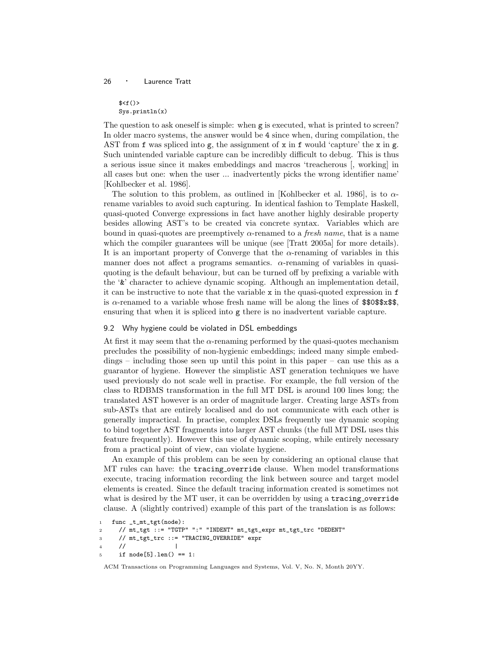$$$ Sys.println(x)

The question to ask oneself is simple: when  $g$  is executed, what is printed to screen? In older macro systems, the answer would be 4 since when, during compilation, the AST from  $f$  was spliced into  $g$ , the assignment of  $x$  in  $f$  would 'capture' the  $x$  in  $g$ . Such unintended variable capture can be incredibly difficult to debug. This is thus a serious issue since it makes embeddings and macros 'treacherous [, working] in all cases but one: when the user ... inadvertently picks the wrong identifier name' [Kohlbecker et al. 1986].

The solution to this problem, as outlined in [Kohlbecker et al. 1986], is to  $\alpha$ rename variables to avoid such capturing. In identical fashion to Template Haskell, quasi-quoted Converge expressions in fact have another highly desirable property besides allowing AST's to be created via concrete syntax. Variables which are bound in quasi-quotes are preemptively  $\alpha$ -renamed to a *fresh name*, that is a name which the compiler guarantees will be unique (see [Tratt 2005a] for more details). It is an important property of Converge that the  $\alpha$ -renaming of variables in this manner does not affect a programs semantics.  $\alpha$ -renaming of variables in quasiquoting is the default behaviour, but can be turned off by prefixing a variable with the '&' character to achieve dynamic scoping. Although an implementation detail, it can be instructive to note that the variable  $x$  in the quasi-quoted expression in  $f$ is  $\alpha$ -renamed to a variable whose fresh name will be along the lines of \$\$0\$\$ $x$ \$\$, ensuring that when it is spliced into g there is no inadvertent variable capture.

#### 9.2 Why hygiene could be violated in DSL embeddings

At first it may seem that the  $\alpha$ -renaming performed by the quasi-quotes mechanism precludes the possibility of non-hygienic embeddings; indeed many simple embeddings – including those seen up until this point in this paper – can use this as a guarantor of hygiene. However the simplistic AST generation techniques we have used previously do not scale well in practise. For example, the full version of the class to RDBMS transformation in the full MT DSL is around 100 lines long; the translated AST however is an order of magnitude larger. Creating large ASTs from sub-ASTs that are entirely localised and do not communicate with each other is generally impractical. In practise, complex DSLs frequently use dynamic scoping to bind together AST fragments into larger AST chunks (the full MT DSL uses this feature frequently). However this use of dynamic scoping, while entirely necessary from a practical point of view, can violate hygiene.

An example of this problem can be seen by considering an optional clause that MT rules can have: the tracing override clause. When model transformations execute, tracing information recording the link between source and target model elements is created. Since the default tracing information created is sometimes not what is desired by the MT user, it can be overridden by using a tracing override clause. A (slightly contrived) example of this part of the translation is as follows:

```
func _t_mt_tgt(node):
```

```
2 // mt_tgt ::= "TGTP" ":" "INDENT" mt_tgt_expr mt_tgt_trc "DEDENT"
```

```
3 // mt_tgt_trc ::= "TRACING_OVERRIDE" expr
```

```
4 // |
```
<sup>5</sup> if node[5].len() == 1:

ACM Transactions on Programming Languages and Systems, Vol. V, No. N, Month 20YY.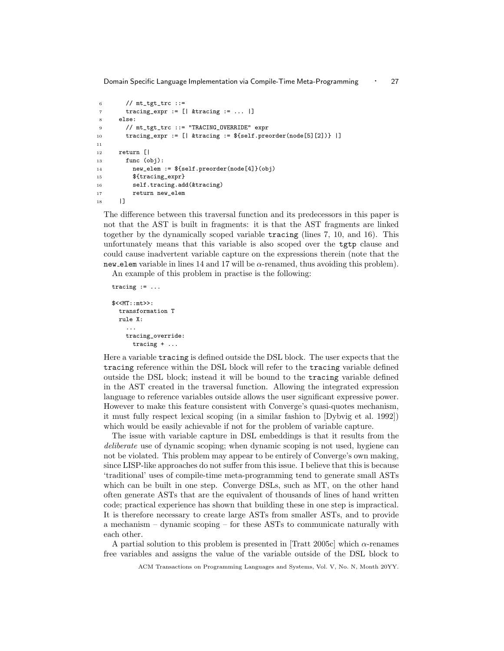Domain Specific Language Implementation via Compile-Time Meta-Programming • 27

```
6 // mt\_tgt\_trc ::=
7 tracing_expr := [| &tracing := ... |]
8 else:
9 // mt_tgt_trc ::= "TRACING_OVERRIDE" expr
10 tracing_expr := [| &tracing := ${self.preorder(node[5][2])} |]
11
12 return [|
13 func (obj):
14 new_elem := ${self.preorder(node[4]}(obj)
15 ${tracing_expr}
16 self.tracing.add(&tracing)
17 return new_elem
18 |]
```
The difference between this traversal function and its predecessors in this paper is not that the AST is built in fragments: it is that the AST fragments are linked together by the dynamically scoped variable tracing (lines 7, 10, and 16). This unfortunately means that this variable is also scoped over the tgtp clause and could cause inadvertent variable capture on the expressions therein (note that the new elem variable in lines 14 and 17 will be  $\alpha$ -renamed, thus avoiding this problem).

An example of this problem in practise is the following:

```
tracing := \ldots$<<MT::mt>>:
 transformation T
 rule X:
    ...
    tracing_override:
      tracing + ...
```
Here a variable tracing is defined outside the DSL block. The user expects that the tracing reference within the DSL block will refer to the tracing variable defined outside the DSL block; instead it will be bound to the tracing variable defined in the AST created in the traversal function. Allowing the integrated expression language to reference variables outside allows the user significant expressive power. However to make this feature consistent with Converge's quasi-quotes mechanism, it must fully respect lexical scoping (in a similar fashion to [Dybvig et al. 1992]) which would be easily achievable if not for the problem of variable capture.

The issue with variable capture in DSL embeddings is that it results from the deliberate use of dynamic scoping; when dynamic scoping is not used, hygiene can not be violated. This problem may appear to be entirely of Converge's own making, since LISP-like approaches do not suffer from this issue. I believe that this is because 'traditional' uses of compile-time meta-programming tend to generate small ASTs which can be built in one step. Converge DSLs, such as MT, on the other hand often generate ASTs that are the equivalent of thousands of lines of hand written code; practical experience has shown that building these in one step is impractical. It is therefore necessary to create large ASTs from smaller ASTs, and to provide a mechanism – dynamic scoping – for these ASTs to communicate naturally with each other.

A partial solution to this problem is presented in [Tratt 2005c] which  $\alpha$ -renames free variables and assigns the value of the variable outside of the DSL block to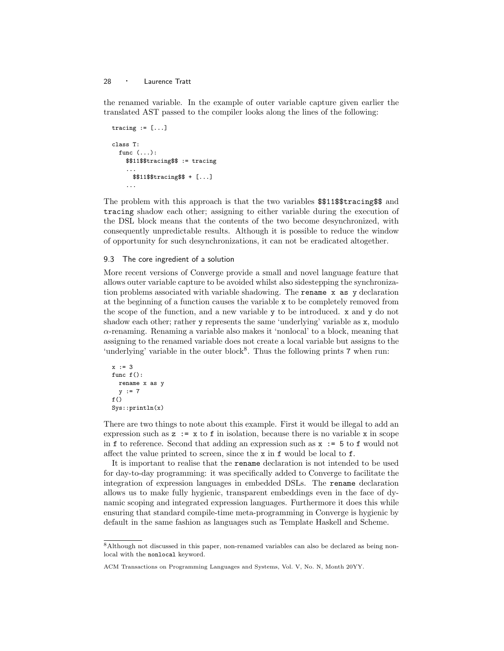the renamed variable. In the example of outer variable capture given earlier the translated AST passed to the compiler looks along the lines of the following:

```
tracing :=[...]class T:
  func (...):
    $$11$$tracing$$ := tracing
    ...
      $$11$$tracing$$ + [...]
    ...
```
The problem with this approach is that the two variables \$\$11\$\$tracing\$\$ and tracing shadow each other; assigning to either variable during the execution of the DSL block means that the contents of the two become desynchronized, with consequently unpredictable results. Although it is possible to reduce the window of opportunity for such desynchronizations, it can not be eradicated altogether.

#### 9.3 The core ingredient of a solution

More recent versions of Converge provide a small and novel language feature that allows outer variable capture to be avoided whilst also sidestepping the synchronization problems associated with variable shadowing. The rename x as y declaration at the beginning of a function causes the variable x to be completely removed from the scope of the function, and a new variable y to be introduced. x and y do not shadow each other; rather y represents the same 'underlying' variable as x, modulo  $\alpha$ -renaming. Renaming a variable also makes it 'nonlocal' to a block, meaning that assigning to the renamed variable does not create a local variable but assigns to the 'underlying' variable in the outer block<sup>8</sup>. Thus the following prints 7 when run:

```
x := 3func f():
 rename x as y
 y := 7f()Sys::println(x)
```
There are two things to note about this example. First it would be illegal to add an expression such as  $z := x$  to f in isolation, because there is no variable x in scope in f to reference. Second that adding an expression such as  $x := 5$  to f would not affect the value printed to screen, since the x in f would be local to f.

It is important to realise that the rename declaration is not intended to be used for day-to-day programming: it was specifically added to Converge to facilitate the integration of expression languages in embedded DSLs. The rename declaration allows us to make fully hygienic, transparent embeddings even in the face of dynamic scoping and integrated expression languages. Furthermore it does this while ensuring that standard compile-time meta-programming in Converge is hygienic by default in the same fashion as languages such as Template Haskell and Scheme.

<sup>8</sup>Although not discussed in this paper, non-renamed variables can also be declared as being nonlocal with the nonlocal keyword.

ACM Transactions on Programming Languages and Systems, Vol. V, No. N, Month 20YY.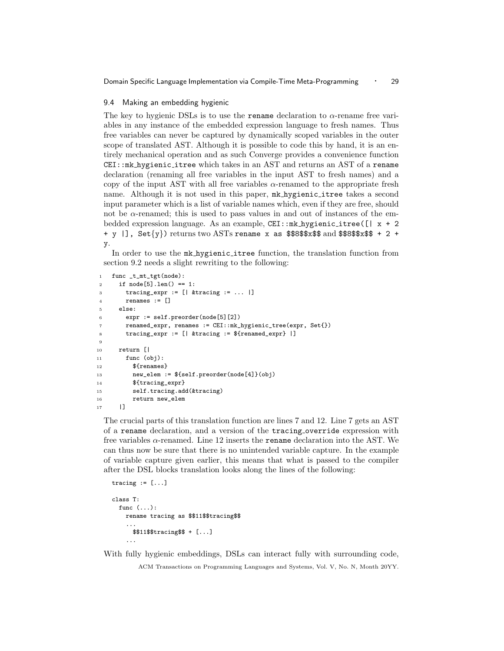Domain Specific Language Implementation via Compile-Time Meta-Programming • 29

#### 9.4 Making an embedding hygienic

The key to hygienic DSLs is to use the rename declaration to  $\alpha$ -rename free variables in any instance of the embedded expression language to fresh names. Thus free variables can never be captured by dynamically scoped variables in the outer scope of translated AST. Although it is possible to code this by hand, it is an entirely mechanical operation and as such Converge provides a convenience function  $CEI:$ : $mk$  hygienic itree which takes in an AST and returns an AST of a rename declaration (renaming all free variables in the input AST to fresh names) and a copy of the input AST with all free variables  $\alpha$ -renamed to the appropriate fresh name. Although it is not used in this paper, mk hygienic itree takes a second input parameter which is a list of variable names which, even if they are free, should not be  $\alpha$ -renamed; this is used to pass values in and out of instances of the embedded expression language. As an example,  $CEI:mk_hypjenic_itree([x + 2$  $+$  y  $|$ , Set $\{y\}$ ) returns two ASTs rename x as  $$$ \$8\$\$x\$\$ and \$\$8\$\$x\$\$ + 2 + y.

In order to use the mk hygienic itree function, the translation function from section 9.2 needs a slight rewriting to the following:

```
1 func _t_mt_tgt(node):
2 if node[5].len() == 1:
3 tracing_expr := [| &tracing := ... |]
4 renames := \lceil \cdot \rceil5 else:
6 expr := self.preorder(node[5][2])7 renamed_expr, renames := CEI::mk_hygienic_tree(expr, Set{})
8 tracing_expr := [| &tracing := ${renamed_expr} |]
9
10 return [|
11 func (obj):
12 ${renames}
13 new_elem := ${self.preorder(node[4]}(obj)
14 ${tracing_expr}
15 self.tracing.add(&tracing)
16 return new_elem
17 |]
```
The crucial parts of this translation function are lines 7 and 12. Line 7 gets an AST of a rename declaration, and a version of the tracing override expression with free variables  $\alpha$ -renamed. Line 12 inserts the **rename** declaration into the AST. We can thus now be sure that there is no unintended variable capture. In the example of variable capture given earlier, this means that what is passed to the compiler after the DSL blocks translation looks along the lines of the following:

```
tracing :=[...]class T:
  func ( \ldots ):
    rename tracing as $$11$$tracing$$
    ...
      $$11$$tracing$$ + [...]
```
...

With fully hygienic embeddings, DSLs can interact fully with surrounding code,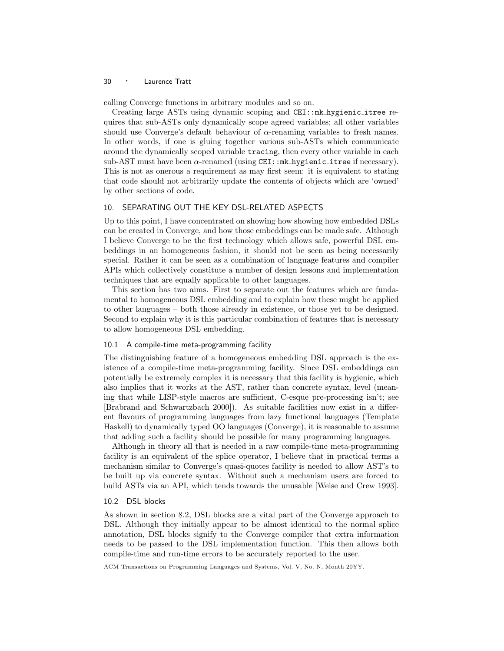calling Converge functions in arbitrary modules and so on.

Creating large ASTs using dynamic scoping and CEI::mk hygienic itree requires that sub-ASTs only dynamically scope agreed variables; all other variables should use Converge's default behaviour of  $\alpha$ -renaming variables to fresh names. In other words, if one is gluing together various sub-ASTs which communicate around the dynamically scoped variable tracing, then every other variable in each sub-AST must have been  $\alpha$ -renamed (using CEI::mk\_hygienic\_itree if necessary). This is not as onerous a requirement as may first seem: it is equivalent to stating that code should not arbitrarily update the contents of objects which are 'owned' by other sections of code.

#### 10. SEPARATING OUT THE KEY DSL-RELATED ASPECTS

Up to this point, I have concentrated on showing how showing how embedded DSLs can be created in Converge, and how those embeddings can be made safe. Although I believe Converge to be the first technology which allows safe, powerful DSL embeddings in an homogeneous fashion, it should not be seen as being necessarily special. Rather it can be seen as a combination of language features and compiler APIs which collectively constitute a number of design lessons and implementation techniques that are equally applicable to other languages.

This section has two aims. First to separate out the features which are fundamental to homogeneous DSL embedding and to explain how these might be applied to other languages – both those already in existence, or those yet to be designed. Second to explain why it is this particular combination of features that is necessary to allow homogeneous DSL embedding.

#### 10.1 A compile-time meta-programming facility

The distinguishing feature of a homogeneous embedding DSL approach is the existence of a compile-time meta-programming facility. Since DSL embeddings can potentially be extremely complex it is necessary that this facility is hygienic, which also implies that it works at the AST, rather than concrete syntax, level (meaning that while LISP-style macros are sufficient, C-esque pre-processing isn't; see [Brabrand and Schwartzbach 2000]). As suitable facilities now exist in a different flavours of programming languages from lazy functional languages (Template Haskell) to dynamically typed OO languages (Converge), it is reasonable to assume that adding such a facility should be possible for many programming languages.

Although in theory all that is needed in a raw compile-time meta-programming facility is an equivalent of the splice operator, I believe that in practical terms a mechanism similar to Converge's quasi-quotes facility is needed to allow AST's to be built up via concrete syntax. Without such a mechanism users are forced to build ASTs via an API, which tends towards the unusable [Weise and Crew 1993].

#### 10.2 DSL blocks

As shown in section 8.2, DSL blocks are a vital part of the Converge approach to DSL. Although they initially appear to be almost identical to the normal splice annotation, DSL blocks signify to the Converge compiler that extra information needs to be passed to the DSL implementation function. This then allows both compile-time and run-time errors to be accurately reported to the user.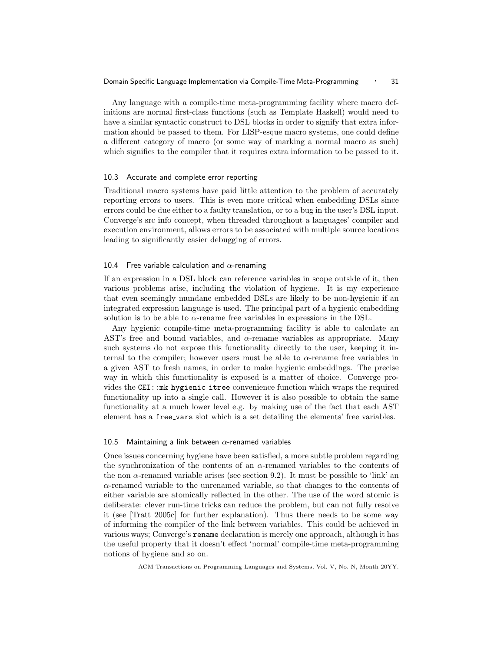Any language with a compile-time meta-programming facility where macro definitions are normal first-class functions (such as Template Haskell) would need to have a similar syntactic construct to DSL blocks in order to signify that extra information should be passed to them. For LISP-esque macro systems, one could define a different category of macro (or some way of marking a normal macro as such) which signifies to the compiler that it requires extra information to be passed to it.

#### 10.3 Accurate and complete error reporting

Traditional macro systems have paid little attention to the problem of accurately reporting errors to users. This is even more critical when embedding DSLs since errors could be due either to a faulty translation, or to a bug in the user's DSL input. Converge's src info concept, when threaded throughout a languages' compiler and execution environment, allows errors to be associated with multiple source locations leading to significantly easier debugging of errors.

#### 10.4 Free variable calculation and  $\alpha$ -renaming

If an expression in a DSL block can reference variables in scope outside of it, then various problems arise, including the violation of hygiene. It is my experience that even seemingly mundane embedded DSLs are likely to be non-hygienic if an integrated expression language is used. The principal part of a hygienic embedding solution is to be able to  $\alpha$ -rename free variables in expressions in the DSL.

Any hygienic compile-time meta-programming facility is able to calculate an AST's free and bound variables, and  $\alpha$ -rename variables as appropriate. Many such systems do not expose this functionality directly to the user, keeping it internal to the compiler; however users must be able to  $\alpha$ -rename free variables in a given AST to fresh names, in order to make hygienic embeddings. The precise way in which this functionality is exposed is a matter of choice. Converge provides the CEI::mk hygienic itree convenience function which wraps the required functionality up into a single call. However it is also possible to obtain the same functionality at a much lower level e.g. by making use of the fact that each AST element has a free vars slot which is a set detailing the elements' free variables.

#### 10.5 Maintaining a link between  $\alpha$ -renamed variables

Once issues concerning hygiene have been satisfied, a more subtle problem regarding the synchronization of the contents of an  $\alpha$ -renamed variables to the contents of the non  $\alpha$ -renamed variable arises (see section 9.2). It must be possible to 'link' an  $\alpha$ -renamed variable to the unrenamed variable, so that changes to the contents of either variable are atomically reflected in the other. The use of the word atomic is deliberate: clever run-time tricks can reduce the problem, but can not fully resolve it (see [Tratt 2005c] for further explanation). Thus there needs to be some way of informing the compiler of the link between variables. This could be achieved in various ways; Converge's rename declaration is merely one approach, although it has the useful property that it doesn't effect 'normal' compile-time meta-programming notions of hygiene and so on.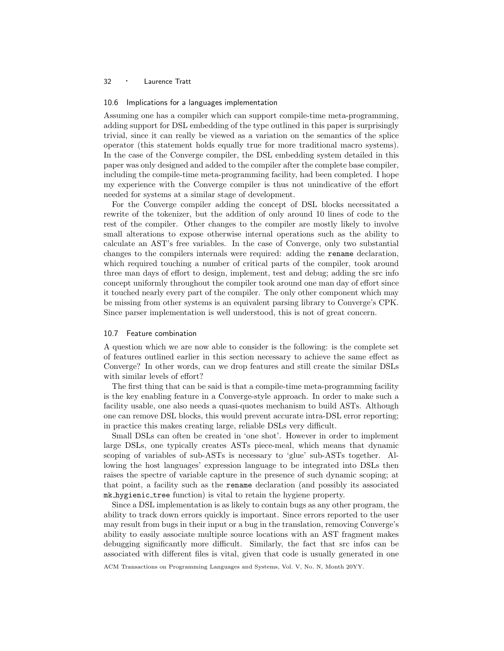#### 10.6 Implications for a languages implementation

Assuming one has a compiler which can support compile-time meta-programming, adding support for DSL embedding of the type outlined in this paper is surprisingly trivial, since it can really be viewed as a variation on the semantics of the splice operator (this statement holds equally true for more traditional macro systems). In the case of the Converge compiler, the DSL embedding system detailed in this paper was only designed and added to the compiler after the complete base compiler, including the compile-time meta-programming facility, had been completed. I hope my experience with the Converge compiler is thus not unindicative of the effort needed for systems at a similar stage of development.

For the Converge compiler adding the concept of DSL blocks necessitated a rewrite of the tokenizer, but the addition of only around 10 lines of code to the rest of the compiler. Other changes to the compiler are mostly likely to involve small alterations to expose otherwise internal operations such as the ability to calculate an AST's free variables. In the case of Converge, only two substantial changes to the compilers internals were required: adding the rename declaration, which required touching a number of critical parts of the compiler, took around three man days of effort to design, implement, test and debug; adding the src info concept uniformly throughout the compiler took around one man day of effort since it touched nearly every part of the compiler. The only other component which may be missing from other systems is an equivalent parsing library to Converge's CPK. Since parser implementation is well understood, this is not of great concern.

#### 10.7 Feature combination

A question which we are now able to consider is the following: is the complete set of features outlined earlier in this section necessary to achieve the same effect as Converge? In other words, can we drop features and still create the similar DSLs with similar levels of effort?

The first thing that can be said is that a compile-time meta-programming facility is the key enabling feature in a Converge-style approach. In order to make such a facility usable, one also needs a quasi-quotes mechanism to build ASTs. Although one can remove DSL blocks, this would prevent accurate intra-DSL error reporting; in practice this makes creating large, reliable DSLs very difficult.

Small DSLs can often be created in 'one shot'. However in order to implement large DSLs, one typically creates ASTs piece-meal, which means that dynamic scoping of variables of sub-ASTs is necessary to 'glue' sub-ASTs together. Allowing the host languages' expression language to be integrated into DSLs then raises the spectre of variable capture in the presence of such dynamic scoping; at that point, a facility such as the rename declaration (and possibly its associated mk hygienic tree function) is vital to retain the hygiene property.

Since a DSL implementation is as likely to contain bugs as any other program, the ability to track down errors quickly is important. Since errors reported to the user may result from bugs in their input or a bug in the translation, removing Converge's ability to easily associate multiple source locations with an AST fragment makes debugging significantly more difficult. Similarly, the fact that src infos can be associated with different files is vital, given that code is usually generated in one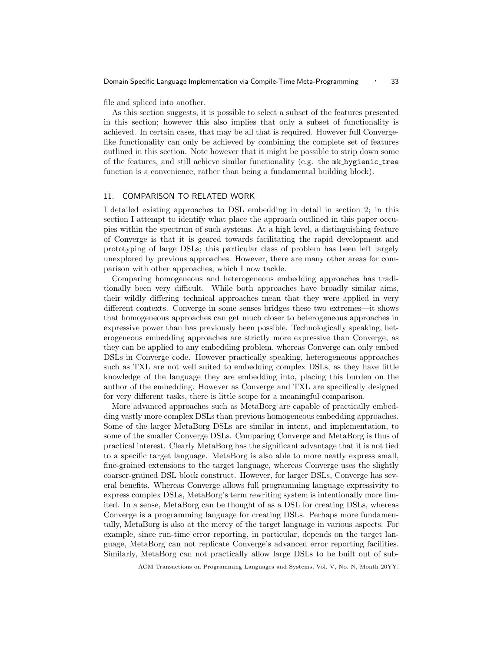file and spliced into another.

As this section suggests, it is possible to select a subset of the features presented in this section; however this also implies that only a subset of functionality is achieved. In certain cases, that may be all that is required. However full Convergelike functionality can only be achieved by combining the complete set of features outlined in this section. Note however that it might be possible to strip down some of the features, and still achieve similar functionality (e.g. the mk hygienic tree function is a convenience, rather than being a fundamental building block).

#### 11. COMPARISON TO RELATED WORK

I detailed existing approaches to DSL embedding in detail in section 2; in this section I attempt to identify what place the approach outlined in this paper occupies within the spectrum of such systems. At a high level, a distinguishing feature of Converge is that it is geared towards facilitating the rapid development and prototyping of large DSLs; this particular class of problem has been left largely unexplored by previous approaches. However, there are many other areas for comparison with other approaches, which I now tackle.

Comparing homogeneous and heterogeneous embedding approaches has traditionally been very difficult. While both approaches have broadly similar aims, their wildly differing technical approaches mean that they were applied in very different contexts. Converge in some senses bridges these two extremes—it shows that homogeneous approaches can get much closer to heterogeneous approaches in expressive power than has previously been possible. Technologically speaking, heterogeneous embedding approaches are strictly more expressive than Converge, as they can be applied to any embedding problem, whereas Converge can only embed DSLs in Converge code. However practically speaking, heterogeneous approaches such as TXL are not well suited to embedding complex DSLs, as they have little knowledge of the language they are embedding into, placing this burden on the author of the embedding. However as Converge and TXL are specifically designed for very different tasks, there is little scope for a meaningful comparison.

More advanced approaches such as MetaBorg are capable of practically embedding vastly more complex DSLs than previous homogeneous embedding approaches. Some of the larger MetaBorg DSLs are similar in intent, and implementation, to some of the smaller Converge DSLs. Comparing Converge and MetaBorg is thus of practical interest. Clearly MetaBorg has the significant advantage that it is not tied to a specific target language. MetaBorg is also able to more neatly express small, fine-grained extensions to the target language, whereas Converge uses the slightly coarser-grained DSL block construct. However, for larger DSLs, Converge has several benefits. Whereas Converge allows full programming language expressivity to express complex DSLs, MetaBorg's term rewriting system is intentionally more limited. In a sense, MetaBorg can be thought of as a DSL for creating DSLs, whereas Converge is a programming language for creating DSLs. Perhaps more fundamentally, MetaBorg is also at the mercy of the target language in various aspects. For example, since run-time error reporting, in particular, depends on the target language, MetaBorg can not replicate Converge's advanced error reporting facilities. Similarly, MetaBorg can not practically allow large DSLs to be built out of sub-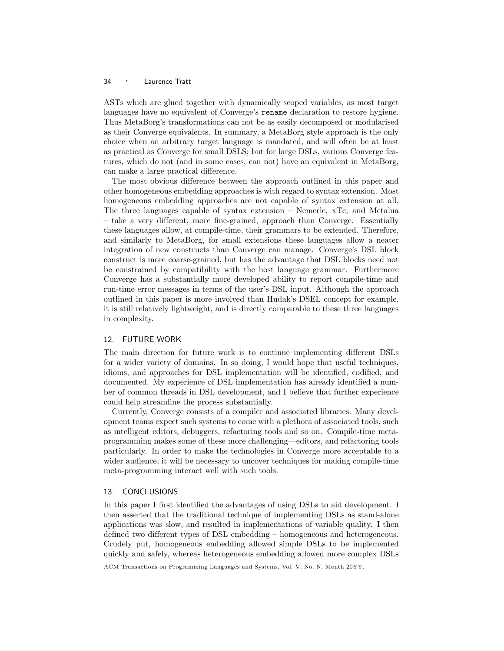ASTs which are glued together with dynamically scoped variables, as most target languages have no equivalent of Converge's rename declaration to restore hygiene. Thus MetaBorg's transformations can not be as easily decomposed or modularised as their Converge equivalents. In summary, a MetaBorg style approach is the only choice when an arbitrary target language is mandated, and will often be at least as practical as Converge for small DSLS; but for large DSLs, various Converge features, which do not (and in some cases, can not) have an equivalent in MetaBorg, can make a large practical difference.

The most obvious difference between the approach outlined in this paper and other homogeneous embedding approaches is with regard to syntax extension. Most homogeneous embedding approaches are not capable of syntax extension at all. The three languages capable of syntax extension – Nemerle, xTc, and Metalua – take a very different, more fine-grained, approach than Converge. Essentially these languages allow, at compile-time, their grammars to be extended. Therefore, and similarly to MetaBorg, for small extensions these languages allow a neater integration of new constructs than Converge can manage. Converge's DSL block construct is more coarse-grained, but has the advantage that DSL blocks need not be constrained by compatibility with the host language grammar. Furthermore Converge has a substantially more developed ability to report compile-time and run-time error messages in terms of the user's DSL input. Although the approach outlined in this paper is more involved than Hudak's DSEL concept for example, it is still relatively lightweight, and is directly comparable to these three languages in complexity.

#### 12. FUTURE WORK

The main direction for future work is to continue implementing different DSLs for a wider variety of domains. In so doing, I would hope that useful techniques, idioms, and approaches for DSL implementation will be identified, codified, and documented. My experience of DSL implementation has already identified a number of common threads in DSL development, and I believe that further experience could help streamline the process substantially.

Currently, Converge consists of a compiler and associated libraries. Many development teams expect such systems to come with a plethora of associated tools, such as intelligent editors, debuggers, refactoring tools and so on. Compile-time metaprogramming makes some of these more challenging—editors, and refactoring tools particularly. In order to make the technologies in Converge more acceptable to a wider audience, it will be necessary to uncover techniques for making compile-time meta-programming interact well with such tools.

#### 13. CONCLUSIONS

In this paper I first identified the advantages of using DSLs to aid development. I then asserted that the traditional technique of implementing DSLs as stand-alone applications was slow, and resulted in implementations of variable quality. I then defined two different types of DSL embedding – homogeneous and heterogeneous. Crudely put, homogeneous embedding allowed simple DSLs to be implemented quickly and safely, whereas heterogeneous embedding allowed more complex DSLs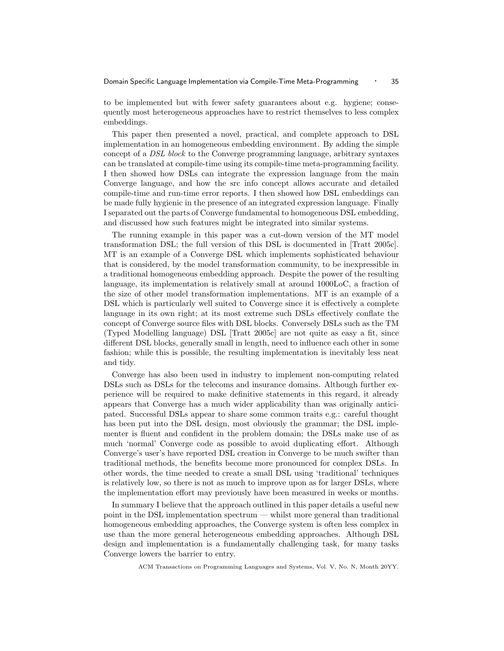to be implemented but with fewer safety guarantees about e.g. hygiene; consequently most heterogeneous approaches have to restrict themselves to less complex embeddings.

This paper then presented a novel, practical, and complete approach to DSL implementation in an homogeneous embedding environment. By adding the simple concept of a DSL block to the Converge programming language, arbitrary syntaxes can be translated at compile-time using its compile-time meta-programming facility. I then showed how DSLs can integrate the expression language from the main Converge language, and how the src info concept allows accurate and detailed compile-time and run-time error reports. I then showed how DSL embeddings can be made fully hygienic in the presence of an integrated expression language. Finally I separated out the parts of Converge fundamental to homogeneous DSL embedding, and discussed how such features might be integrated into similar systems.

The running example in this paper was a cut-down version of the MT model transformation DSL; the full version of this DSL is documented in [Tratt 2005c]. MT is an example of a Converge DSL which implements sophisticated behaviour that is considered, by the model transformation community, to be inexpressible in a traditional homogeneous embedding approach. Despite the power of the resulting language, its implementation is relatively small at around 1000LoC, a fraction of the size of other model transformation implementations. MT is an example of a DSL which is particularly well suited to Converge since it is effectively a complete language in its own right; at its most extreme such DSLs effectively conflate the concept of Converge source files with DSL blocks. Conversely DSLs such as the TM (Typed Modelling language) DSL [Tratt 2005c] are not quite as easy a fit, since different DSL blocks, generally small in length, need to influence each other in some fashion; while this is possible, the resulting implementation is inevitably less neat and tidy.

Converge has also been used in industry to implement non-computing related DSLs such as DSLs for the telecoms and insurance domains. Although further experience will be required to make definitive statements in this regard, it already appears that Converge has a much wider applicability than was originally anticipated. Successful DSLs appear to share some common traits e.g.: careful thought has been put into the DSL design, most obviously the grammar; the DSL implementer is fluent and confident in the problem domain; the DSLs make use of as much 'normal' Converge code as possible to avoid duplicating effort. Although Converge's user's have reported DSL creation in Converge to be much swifter than traditional methods, the benefits become more pronounced for complex DSLs. In other words, the time needed to create a small DSL using 'traditional' techniques is relatively low, so there is not as much to improve upon as for larger DSLs, where the implementation effort may previously have been measured in weeks or months.

In summary I believe that the approach outlined in this paper details a useful new point in the DSL implementation spectrum — whilst more general than traditional homogeneous embedding approaches, the Converge system is often less complex in use than the more general heterogeneous embedding approaches. Although DSL design and implementation is a fundamentally challenging task, for many tasks Converge lowers the barrier to entry.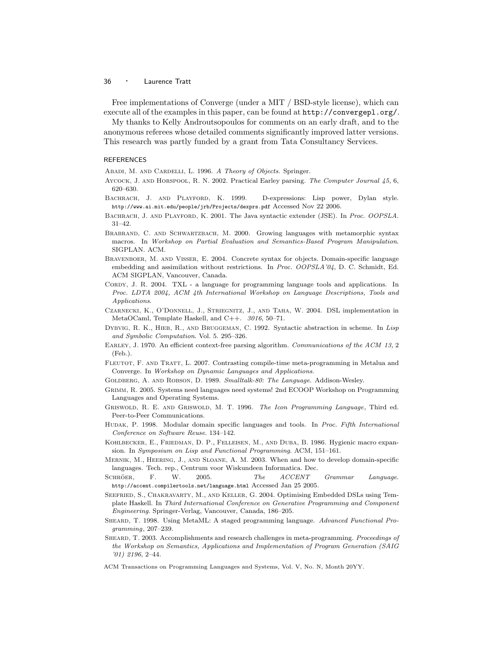Free implementations of Converge (under a MIT / BSD-style license), which can execute all of the examples in this paper, can be found at http://convergepl.org/.

My thanks to Kelly Androutsopoulos for comments on an early draft, and to the anonymous referees whose detailed comments significantly improved latter versions. This research was partly funded by a grant from Tata Consultancy Services.

#### REFERENCES

ABADI, M. AND CARDELLI, L. 1996. A Theory of Objects. Springer.

- Aycock, J. and Horspool, R. N. 2002. Practical Earley parsing. The Computer Journal 45, 6, 620–630.
- BACHRACH, J. AND PLAYFORD, K. 1999. D-expressions: Lisp power, Dylan style. http://www.ai.mit.edu/people/jrb/Projects/dexprs.pdf Accessed Nov 22 2006.
- BACHRACH, J. AND PLAYFORD, K. 2001. The Java syntactic extender (JSE). In Proc. OOPSLA. 31–42.
- Brabrand, C. and Schwartzbach, M. 2000. Growing languages with metamorphic syntax macros. In Workshop on Partial Evaluation and Semantics-Based Program Manipulation. SIGPLAN. ACM.
- Bravenboer, M. and Visser, E. 2004. Concrete syntax for objects. Domain-specific language embedding and assimilation without restrictions. In Proc. OOPSLA'04, D. C. Schmidt, Ed. ACM SIGPLAN, Vancouver, Canada.
- CORDY, J. R. 2004. TXL a language for programming language tools and applications. In Proc. LDTA 2004, ACM 4th International Workshop on Language Descriptions, Tools and Applications.
- Czarnecki, K., O'Donnell, J., Striegnitz, J., and Taha, W. 2004. DSL implementation in MetaOCaml, Template Haskell, and C++. 3016, 50–71.
- DYBVIG, R. K., HIEB, R., AND BRUGGEMAN, C. 1992. Syntactic abstraction in scheme. In Lisp and Symbolic Computation. Vol. 5. 295–326.
- EARLEY, J. 1970. An efficient context-free parsing algorithm. Communications of the ACM 13, 2 (Feb.).
- FLEUTOT, F. AND TRATT, L. 2007. Contrasting compile-time meta-programming in Metalua and Converge. In Workshop on Dynamic Languages and Applications.
- GOLDBERG, A. AND ROBSON, D. 1989. Smalltalk-80: The Language. Addison-Wesley.
- Grimm, R. 2005. Systems need languages need systems! 2nd ECOOP Workshop on Programming Languages and Operating Systems.
- Griswold, R. E. and Griswold, M. T. 1996. The Icon Programming Language, Third ed. Peer-to-Peer Communications.
- Hudak, P. 1998. Modular domain specific languages and tools. In Proc. Fifth International Conference on Software Reuse. 134–142.
- Kohlbecker, E., Friedman, D. P., Felleisen, M., and Duba, B. 1986. Hygienic macro expansion. In Symposium on Lisp and Functional Programming. ACM, 151–161.
- Mernik, M., Heering, J., and Sloane, A. M. 2003. When and how to develop domain-specific languages. Tech. rep., Centrum voor Wiskundeen Informatica. Dec.
- SCHRÖER, F. W. 2005. The ACCENT Grammar Language. http://accent.compilertools.net/language.html Accessed Jan 25 2005.
- Seefried, S., Chakravarty, M., and Keller, G. 2004. Optimising Embedded DSLs using Template Haskell. In Third International Conference on Generative Programming and Component Engineering. Springer-Verlag, Vancouver, Canada, 186–205.
- Sheard, T. 1998. Using MetaML: A staged programming language. Advanced Functional Programming, 207–239.
- SHEARD, T. 2003. Accomplishments and research challenges in meta-programming. Proceedings of the Workshop on Semantics, Applications and Implementation of Program Generation (SAIG '01) 2196, 2–44.